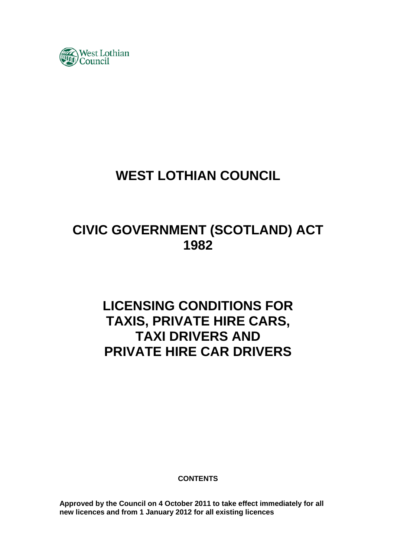

# **WEST LOTHIAN COUNCIL**

# **CIVIC GOVERNMENT (SCOTLAND) ACT 1982**

# **LICENSING CONDITIONS FOR TAXIS, PRIVATE HIRE CARS, TAXI DRIVERS AND PRIVATE HIRE CAR DRIVERS**

**CONTENTS** 

**Approved by the Council on 4 October 2011 to take effect immediately for all new licences and from 1 January 2012 for all existing licences**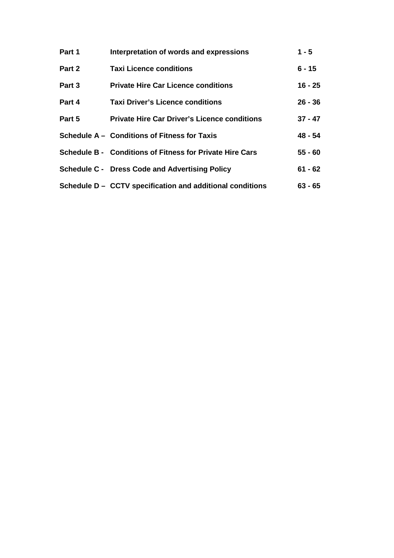| Part 1 | Interpretation of words and expressions                         | $1 - 5$   |
|--------|-----------------------------------------------------------------|-----------|
| Part 2 | <b>Taxi Licence conditions</b>                                  | $6 - 15$  |
| Part 3 | <b>Private Hire Car Licence conditions</b>                      | $16 - 25$ |
| Part 4 | <b>Taxi Driver's Licence conditions</b>                         | $26 - 36$ |
| Part 5 | <b>Private Hire Car Driver's Licence conditions</b>             | $37 - 47$ |
|        | Schedule A - Conditions of Fitness for Taxis                    | 48 - 54   |
|        | <b>Schedule B - Conditions of Fitness for Private Hire Cars</b> | $55 - 60$ |
|        | <b>Schedule C - Dress Code and Advertising Policy</b>           | $61 - 62$ |
|        | Schedule D - CCTV specification and additional conditions       | $63 - 65$ |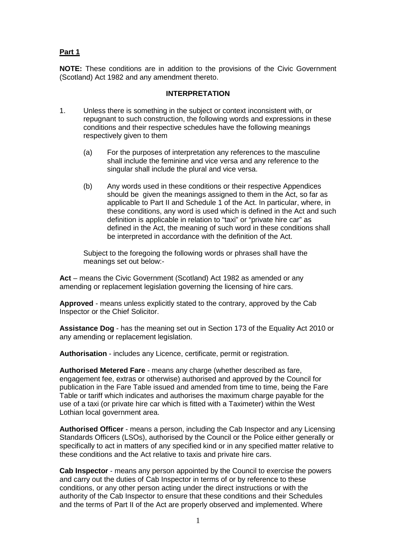# **Part 1**

**NOTE:** These conditions are in addition to the provisions of the Civic Government (Scotland) Act 1982 and any amendment thereto.

#### **INTERPRETATION**

- 1. Unless there is something in the subject or context inconsistent with, or repugnant to such construction, the following words and expressions in these conditions and their respective schedules have the following meanings respectively given to them
	- (a) For the purposes of interpretation any references to the masculine shall include the feminine and vice versa and any reference to the singular shall include the plural and vice versa.
	- (b) Any words used in these conditions or their respective Appendices should be given the meanings assigned to them in the Act, so far as applicable to Part II and Schedule 1 of the Act. In particular, where, in these conditions, any word is used which is defined in the Act and such definition is applicable in relation to "taxi" or "private hire car" as defined in the Act, the meaning of such word in these conditions shall be interpreted in accordance with the definition of the Act.

Subject to the foregoing the following words or phrases shall have the meanings set out below:-

**Act** – means the Civic Government (Scotland) Act 1982 as amended or any amending or replacement legislation governing the licensing of hire cars.

**Approved** - means unless explicitly stated to the contrary, approved by the Cab Inspector or the Chief Solicitor.

**Assistance Dog** - has the meaning set out in Section 173 of the Equality Act 2010 or any amending or replacement legislation.

**Authorisation** - includes any Licence, certificate, permit or registration.

**Authorised Metered Fare** - means any charge (whether described as fare, engagement fee, extras or otherwise) authorised and approved by the Council for publication in the Fare Table issued and amended from time to time, being the Fare Table or tariff which indicates and authorises the maximum charge payable for the use of a taxi (or private hire car which is fitted with a Taximeter) within the West Lothian local government area.

**Authorised Officer** - means a person, including the Cab Inspector and any Licensing Standards Officers (LSOs), authorised by the Council or the Police either generally or specifically to act in matters of any specified kind or in any specified matter relative to these conditions and the Act relative to taxis and private hire cars.

**Cab Inspector** - means any person appointed by the Council to exercise the powers and carry out the duties of Cab Inspector in terms of or by reference to these conditions, or any other person acting under the direct instructions or with the authority of the Cab Inspector to ensure that these conditions and their Schedules and the terms of Part II of the Act are properly observed and implemented. Where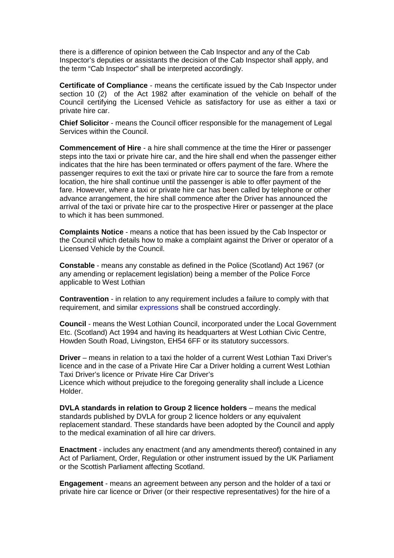there is a difference of opinion between the Cab Inspector and any of the Cab Inspector's deputies or assistants the decision of the Cab Inspector shall apply, and the term "Cab Inspector" shall be interpreted accordingly.

**Certificate of Compliance** - means the certificate issued by the Cab Inspector under section 10 (2) of the Act 1982 after examination of the vehicle on behalf of the Council certifying the Licensed Vehicle as satisfactory for use as either a taxi or private hire car.

**Chief Solicitor** - means the Council officer responsible for the management of Legal Services within the Council.

**Commencement of Hire** - a hire shall commence at the time the Hirer or passenger steps into the taxi or private hire car, and the hire shall end when the passenger either indicates that the hire has been terminated or offers payment of the fare. Where the passenger requires to exit the taxi or private hire car to source the fare from a remote location, the hire shall continue until the passenger is able to offer payment of the fare. However, where a taxi or private hire car has been called by telephone or other advance arrangement, the hire shall commence after the Driver has announced the arrival of the taxi or private hire car to the prospective Hirer or passenger at the place to which it has been summoned.

**Complaints Notice** - means a notice that has been issued by the Cab Inspector or the Council which details how to make a complaint against the Driver or operator of a Licensed Vehicle by the Council.

**Constable** - means any constable as defined in the Police (Scotland) Act 1967 (or any amending or replacement legislation) being a member of the Police Force applicable to West Lothian

**Contravention** - in relation to any requirement includes a failure to comply with that requirement, and similar expressions shall be construed accordingly.

**Council** - means the West Lothian Council, incorporated under the Local Government Etc. (Scotland) Act 1994 and having its headquarters at West Lothian Civic Centre, Howden South Road, Livingston, EH54 6FF or its statutory successors.

**Driver** – means in relation to a taxi the holder of a current West Lothian Taxi Driver's licence and in the case of a Private Hire Car a Driver holding a current West Lothian Taxi Driver's licence or Private Hire Car Driver's

Licence which without prejudice to the foregoing generality shall include a Licence Holder.

**DVLA standards in relation to Group 2 licence holders** – means the medical standards published by DVLA for group 2 licence holders or any equivalent replacement standard. These standards have been adopted by the Council and apply to the medical examination of all hire car drivers.

**Enactment** - includes any enactment (and any amendments thereof) contained in any Act of Parliament, Order, Regulation or other instrument issued by the UK Parliament or the Scottish Parliament affecting Scotland.

**Engagement** - means an agreement between any person and the holder of a taxi or private hire car licence or Driver (or their respective representatives) for the hire of a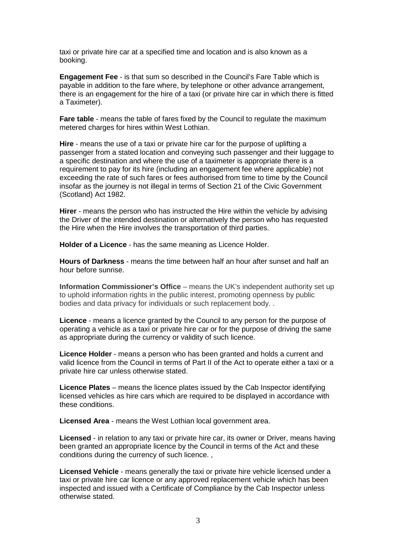taxi or private hire car at a specified time and location and is also known as a booking.

**Engagement Fee** - is that sum so described in the Council's Fare Table which is payable in addition to the fare where, by telephone or other advance arrangement, there is an engagement for the hire of a taxi (or private hire car in which there is fitted a Taximeter).

**Fare table** - means the table of fares fixed by the Council to regulate the maximum metered charges for hires within West Lothian.

**Hire** - means the use of a taxi or private hire car for the purpose of uplifting a passenger from a stated location and conveying such passenger and their luggage to a specific destination and where the use of a taximeter is appropriate there is a requirement to pay for its hire (including an engagement fee where applicable) not exceeding the rate of such fares or fees authorised from time to time by the Council insofar as the journey is not illegal in terms of Section 21 of the Civic Government (Scotland) Act 1982.

**Hirer** - means the person who has instructed the Hire within the vehicle by advising the Driver of the intended destination or alternatively the person who has requested the Hire when the Hire involves the transportation of third parties.

**Holder of a Licence** - has the same meaning as Licence Holder.

**Hours of Darkness** - means the time between half an hour after sunset and half an hour before sunrise.

**Information Commissioner's Office** – means the UK's independent authority set up to uphold information rights in the public interest, promoting openness by public bodies and data privacy for individuals or such replacement body. .

**Licence** - means a licence granted by the Council to any person for the purpose of operating a vehicle as a taxi or private hire car or for the purpose of driving the same as appropriate during the currency or validity of such licence.

**Licence Holder** - means a person who has been granted and holds a current and valid licence from the Council in terms of Part II of the Act to operate either a taxi or a private hire car unless otherwise stated.

**Licence Plates** – means the licence plates issued by the Cab Inspector identifying licensed vehicles as hire cars which are required to be displayed in accordance with these conditions.

**Licensed Area** - means the West Lothian local government area.

**Licensed** - in relation to any taxi or private hire car, its owner or Driver, means having been granted an appropriate licence by the Council in terms of the Act and these conditions during the currency of such licence. ,

**Licensed Vehicle** - means generally the taxi or private hire vehicle licensed under a taxi or private hire car licence or any approved replacement vehicle which has been inspected and issued with a Certificate of Compliance by the Cab Inspector unless otherwise stated.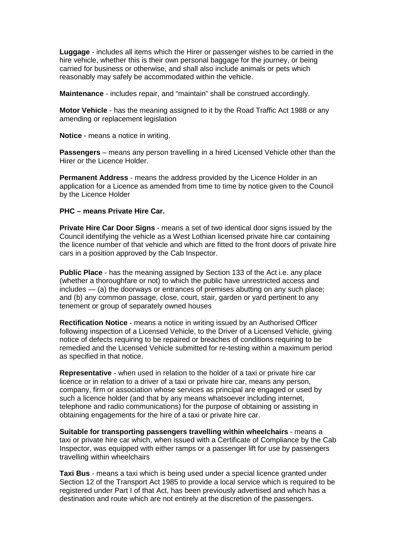**Luggage** - includes all items which the Hirer or passenger wishes to be carried in the hire vehicle, whether this is their own personal baggage for the journey, or being carried for business or otherwise, and shall also include animals or pets which reasonably may safely be accommodated within the vehicle.

**Maintenance** - includes repair, and "maintain" shall be construed accordingly.

**Motor Vehicle** - has the meaning assigned to it by the Road Traffic Act 1988 or any amending or replacement legislation

**Notice** - means a notice in writing.

**Passengers** – means any person travelling in a hired Licensed Vehicle other than the Hirer or the Licence Holder.

**Permanent Address** - means the address provided by the Licence Holder in an application for a Licence as amended from time to time by notice given to the Council by the Licence Holder

#### **PHC – means Private Hire Car.**

**Private Hire Car Door Signs** - means a set of two identical door signs issued by the Council identifying the vehicle as a West Lothian licensed private hire car containing the licence number of that vehicle and which are fitted to the front doors of private hire cars in a position approved by the Cab Inspector.

**Public Place** - has the meaning assigned by Section 133 of the Act i.e. any place (whether a thoroughfare or not) to which the public have unrestricted access and includes — (a) the doorways or entrances of premises abutting on any such place; and (b) any common passage, close, court, stair, garden or yard pertinent to any tenement or group of separately owned houses

**Rectification Notice** - means a notice in writing issued by an Authorised Officer following inspection of a Licensed Vehicle, to the Driver of a Licensed Vehicle, giving notice of defects requiring to be repaired or breaches of conditions requiring to be remedied and the Licensed Vehicle submitted for re-testing within a maximum period as specified in that notice.

**Representative** - when used in relation to the holder of a taxi or private hire car licence or in relation to a driver of a taxi or private hire car, means any person, company, firm or association whose services as principal are engaged or used by such a licence holder (and that by any means whatsoever including internet, telephone and radio communications) for the purpose of obtaining or assisting in obtaining engagements for the hire of a taxi or private hire car.

**Suitable for transporting passengers travelling within wheelchairs** - means a taxi or private hire car which, when issued with a Certificate of Compliance by the Cab Inspector, was equipped with either ramps or a passenger lift for use by passengers travelling within wheelchairs

**Taxi Bus** - means a taxi which is being used under a special licence granted under Section 12 of the Transport Act 1985 to provide a local service which is required to be registered under Part I of that Act, has been previously advertised and which has a destination and route which are not entirely at the discretion of the passengers.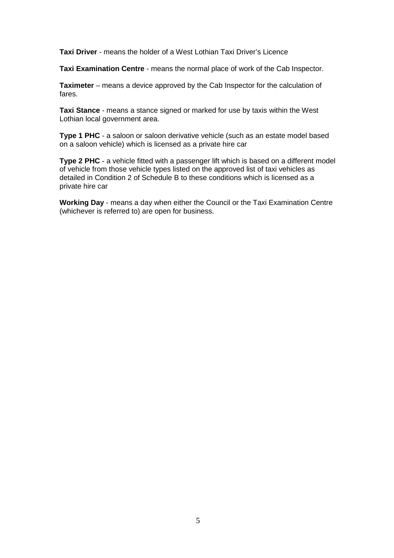**Taxi Driver** - means the holder of a West Lothian Taxi Driver's Licence

**Taxi Examination Centre** - means the normal place of work of the Cab Inspector.

**Taximeter** – means a device approved by the Cab Inspector for the calculation of fares.

**Taxi Stance** - means a stance signed or marked for use by taxis within the West Lothian local government area.

**Type 1 PHC** - a saloon or saloon derivative vehicle (such as an estate model based on a saloon vehicle) which is licensed as a private hire car

**Type 2 PHC** - a vehicle fitted with a passenger lift which is based on a different model of vehicle from those vehicle types listed on the approved list of taxi vehicles as detailed in Condition 2 of Schedule B to these conditions which is licensed as a private hire car

**Working Day** - means a day when either the Council or the Taxi Examination Centre (whichever is referred to) are open for business.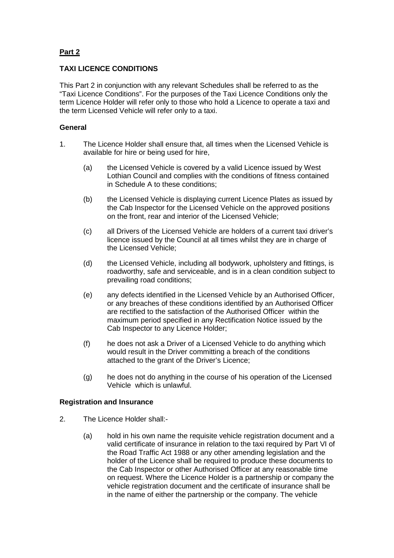# **Part 2**

# **TAXI LICENCE CONDITIONS**

This Part 2 in conjunction with any relevant Schedules shall be referred to as the "Taxi Licence Conditions". For the purposes of the Taxi Licence Conditions only the term Licence Holder will refer only to those who hold a Licence to operate a taxi and the term Licensed Vehicle will refer only to a taxi.

## **General**

- 1. The Licence Holder shall ensure that, all times when the Licensed Vehicle is available for hire or being used for hire,
	- (a) the Licensed Vehicle is covered by a valid Licence issued by West Lothian Council and complies with the conditions of fitness contained in Schedule A to these conditions;
	- (b) the Licensed Vehicle is displaying current Licence Plates as issued by the Cab Inspector for the Licensed Vehicle on the approved positions on the front, rear and interior of the Licensed Vehicle;
	- (c) all Drivers of the Licensed Vehicle are holders of a current taxi driver's licence issued by the Council at all times whilst they are in charge of the Licensed Vehicle;
	- (d) the Licensed Vehicle, including all bodywork, upholstery and fittings, is roadworthy, safe and serviceable, and is in a clean condition subject to prevailing road conditions;
	- (e) any defects identified in the Licensed Vehicle by an Authorised Officer, or any breaches of these conditions identified by an Authorised Officer are rectified to the satisfaction of the Authorised Officer within the maximum period specified in any Rectification Notice issued by the Cab Inspector to any Licence Holder;
	- (f) he does not ask a Driver of a Licensed Vehicle to do anything which would result in the Driver committing a breach of the conditions attached to the grant of the Driver's Licence;
	- (g) he does not do anything in the course of his operation of the Licensed Vehicle which is unlawful.

#### **Registration and Insurance**

- 2. The Licence Holder shall:-
	- (a) hold in his own name the requisite vehicle registration document and a valid certificate of insurance in relation to the taxi required by Part VI of the Road Traffic Act 1988 or any other amending legislation and the holder of the Licence shall be required to produce these documents to the Cab Inspector or other Authorised Officer at any reasonable time on request. Where the Licence Holder is a partnership or company the vehicle registration document and the certificate of insurance shall be in the name of either the partnership or the company. The vehicle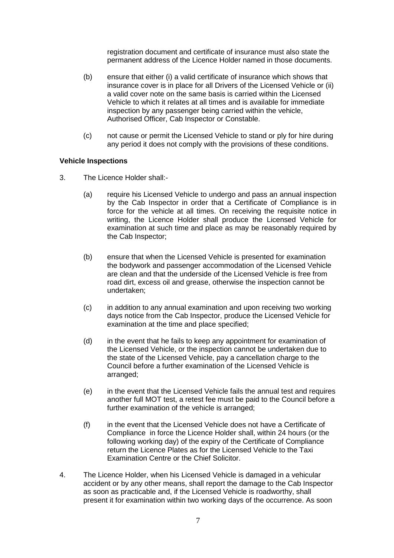registration document and certificate of insurance must also state the permanent address of the Licence Holder named in those documents.

- (b) ensure that either (i) a valid certificate of insurance which shows that insurance cover is in place for all Drivers of the Licensed Vehicle or (ii) a valid cover note on the same basis is carried within the Licensed Vehicle to which it relates at all times and is available for immediate inspection by any passenger being carried within the vehicle, Authorised Officer, Cab Inspector or Constable.
- (c) not cause or permit the Licensed Vehicle to stand or ply for hire during any period it does not comply with the provisions of these conditions.

#### **Vehicle Inspections**

- 3. The Licence Holder shall:-
	- (a) require his Licensed Vehicle to undergo and pass an annual inspection by the Cab Inspector in order that a Certificate of Compliance is in force for the vehicle at all times. On receiving the requisite notice in writing, the Licence Holder shall produce the Licensed Vehicle for examination at such time and place as may be reasonably required by the Cab Inspector;
	- (b) ensure that when the Licensed Vehicle is presented for examination the bodywork and passenger accommodation of the Licensed Vehicle are clean and that the underside of the Licensed Vehicle is free from road dirt, excess oil and grease, otherwise the inspection cannot be undertaken;
	- (c) in addition to any annual examination and upon receiving two working days notice from the Cab Inspector, produce the Licensed Vehicle for examination at the time and place specified;
	- (d) in the event that he fails to keep any appointment for examination of the Licensed Vehicle, or the inspection cannot be undertaken due to the state of the Licensed Vehicle, pay a cancellation charge to the Council before a further examination of the Licensed Vehicle is arranged;
	- (e) in the event that the Licensed Vehicle fails the annual test and requires another full MOT test, a retest fee must be paid to the Council before a further examination of the vehicle is arranged;
	- (f) in the event that the Licensed Vehicle does not have a Certificate of Compliance in force the Licence Holder shall, within 24 hours (or the following working day) of the expiry of the Certificate of Compliance return the Licence Plates as for the Licensed Vehicle to the Taxi Examination Centre or the Chief Solicitor.
- 4. The Licence Holder, when his Licensed Vehicle is damaged in a vehicular accident or by any other means, shall report the damage to the Cab Inspector as soon as practicable and, if the Licensed Vehicle is roadworthy, shall present it for examination within two working days of the occurrence. As soon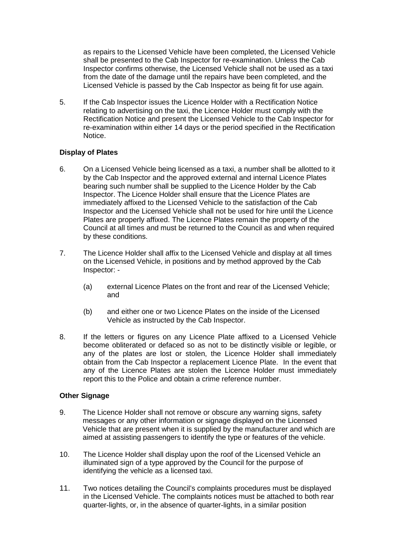as repairs to the Licensed Vehicle have been completed, the Licensed Vehicle shall be presented to the Cab Inspector for re-examination. Unless the Cab Inspector confirms otherwise, the Licensed Vehicle shall not be used as a taxi from the date of the damage until the repairs have been completed, and the Licensed Vehicle is passed by the Cab Inspector as being fit for use again.

5. If the Cab Inspector issues the Licence Holder with a Rectification Notice relating to advertising on the taxi, the Licence Holder must comply with the Rectification Notice and present the Licensed Vehicle to the Cab Inspector for re-examination within either 14 days or the period specified in the Rectification Notice.

## **Display of Plates**

- 6. On a Licensed Vehicle being licensed as a taxi, a number shall be allotted to it by the Cab Inspector and the approved external and internal Licence Plates bearing such number shall be supplied to the Licence Holder by the Cab Inspector. The Licence Holder shall ensure that the Licence Plates are immediately affixed to the Licensed Vehicle to the satisfaction of the Cab Inspector and the Licensed Vehicle shall not be used for hire until the Licence Plates are properly affixed. The Licence Plates remain the property of the Council at all times and must be returned to the Council as and when required by these conditions.
- 7. The Licence Holder shall affix to the Licensed Vehicle and display at all times on the Licensed Vehicle, in positions and by method approved by the Cab Inspector: -
	- (a) external Licence Plates on the front and rear of the Licensed Vehicle; and
	- (b) and either one or two Licence Plates on the inside of the Licensed Vehicle as instructed by the Cab Inspector.
- 8. If the letters or figures on any Licence Plate affixed to a Licensed Vehicle become obliterated or defaced so as not to be distinctly visible or legible, or any of the plates are lost or stolen, the Licence Holder shall immediately obtain from the Cab Inspector a replacement Licence Plate. In the event that any of the Licence Plates are stolen the Licence Holder must immediately report this to the Police and obtain a crime reference number.

## **Other Signage**

- 9. The Licence Holder shall not remove or obscure any warning signs, safety messages or any other information or signage displayed on the Licensed Vehicle that are present when it is supplied by the manufacturer and which are aimed at assisting passengers to identify the type or features of the vehicle.
- 10. The Licence Holder shall display upon the roof of the Licensed Vehicle an illuminated sign of a type approved by the Council for the purpose of identifying the vehicle as a licensed taxi.
- 11. Two notices detailing the Council's complaints procedures must be displayed in the Licensed Vehicle. The complaints notices must be attached to both rear quarter-lights, or, in the absence of quarter-lights, in a similar position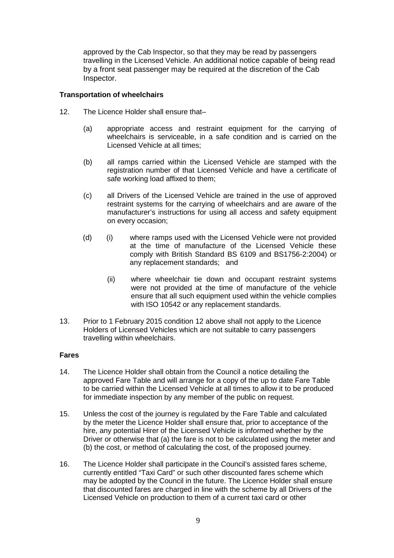approved by the Cab Inspector, so that they may be read by passengers travelling in the Licensed Vehicle. An additional notice capable of being read by a front seat passenger may be required at the discretion of the Cab Inspector.

## **Transportation of wheelchairs**

- 12. The Licence Holder shall ensure that-
	- (a) appropriate access and restraint equipment for the carrying of wheelchairs is serviceable, in a safe condition and is carried on the Licensed Vehicle at all times;
	- (b) all ramps carried within the Licensed Vehicle are stamped with the registration number of that Licensed Vehicle and have a certificate of safe working load affixed to them;
	- (c) all Drivers of the Licensed Vehicle are trained in the use of approved restraint systems for the carrying of wheelchairs and are aware of the manufacturer's instructions for using all access and safety equipment on every occasion;
	- (d) (i) where ramps used with the Licensed Vehicle were not provided at the time of manufacture of the Licensed Vehicle these comply with British Standard BS 6109 and BS1756-2:2004) or any replacement standards; and
		- (ii) where wheelchair tie down and occupant restraint systems were not provided at the time of manufacture of the vehicle ensure that all such equipment used within the vehicle complies with ISO 10542 or any replacement standards.
- 13. Prior to 1 February 2015 condition 12 above shall not apply to the Licence Holders of Licensed Vehicles which are not suitable to carry passengers travelling within wheelchairs.

## **Fares**

- 14. The Licence Holder shall obtain from the Council a notice detailing the approved Fare Table and will arrange for a copy of the up to date Fare Table to be carried within the Licensed Vehicle at all times to allow it to be produced for immediate inspection by any member of the public on request.
- 15. Unless the cost of the journey is regulated by the Fare Table and calculated by the meter the Licence Holder shall ensure that, prior to acceptance of the hire, any potential Hirer of the Licensed Vehicle is informed whether by the Driver or otherwise that (a) the fare is not to be calculated using the meter and (b) the cost, or method of calculating the cost, of the proposed journey.
- 16. The Licence Holder shall participate in the Council's assisted fares scheme, currently entitled "Taxi Card" or such other discounted fares scheme which may be adopted by the Council in the future. The Licence Holder shall ensure that discounted fares are charged in line with the scheme by all Drivers of the Licensed Vehicle on production to them of a current taxi card or other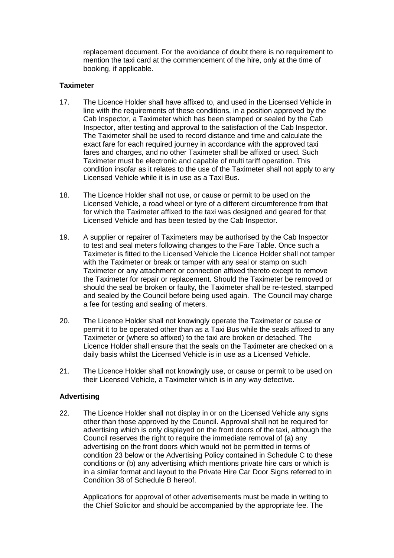replacement document. For the avoidance of doubt there is no requirement to mention the taxi card at the commencement of the hire, only at the time of booking, if applicable.

## **Taximeter**

- 17. The Licence Holder shall have affixed to, and used in the Licensed Vehicle in line with the requirements of these conditions, in a position approved by the Cab Inspector, a Taximeter which has been stamped or sealed by the Cab Inspector, after testing and approval to the satisfaction of the Cab Inspector. The Taximeter shall be used to record distance and time and calculate the exact fare for each required journey in accordance with the approved taxi fares and charges, and no other Taximeter shall be affixed or used. Such Taximeter must be electronic and capable of multi tariff operation. This condition insofar as it relates to the use of the Taximeter shall not apply to any Licensed Vehicle while it is in use as a Taxi Bus.
- 18. The Licence Holder shall not use, or cause or permit to be used on the Licensed Vehicle, a road wheel or tyre of a different circumference from that for which the Taximeter affixed to the taxi was designed and geared for that Licensed Vehicle and has been tested by the Cab Inspector.
- 19. A supplier or repairer of Taximeters may be authorised by the Cab Inspector to test and seal meters following changes to the Fare Table. Once such a Taximeter is fitted to the Licensed Vehicle the Licence Holder shall not tamper with the Taximeter or break or tamper with any seal or stamp on such Taximeter or any attachment or connection affixed thereto except to remove the Taximeter for repair or replacement. Should the Taximeter be removed or should the seal be broken or faulty, the Taximeter shall be re-tested, stamped and sealed by the Council before being used again. The Council may charge a fee for testing and sealing of meters.
- 20. The Licence Holder shall not knowingly operate the Taximeter or cause or permit it to be operated other than as a Taxi Bus while the seals affixed to any Taximeter or (where so affixed) to the taxi are broken or detached. The Licence Holder shall ensure that the seals on the Taximeter are checked on a daily basis whilst the Licensed Vehicle is in use as a Licensed Vehicle.
- 21. The Licence Holder shall not knowingly use, or cause or permit to be used on their Licensed Vehicle, a Taximeter which is in any way defective.

## **Advertising**

22. The Licence Holder shall not display in or on the Licensed Vehicle any signs other than those approved by the Council. Approval shall not be required for advertising which is only displayed on the front doors of the taxi, although the Council reserves the right to require the immediate removal of (a) any advertising on the front doors which would not be permitted in terms of condition 23 below or the Advertising Policy contained in Schedule C to these conditions or (b) any advertising which mentions private hire cars or which is in a similar format and layout to the Private Hire Car Door Signs referred to in Condition 38 of Schedule B hereof.

Applications for approval of other advertisements must be made in writing to the Chief Solicitor and should be accompanied by the appropriate fee. The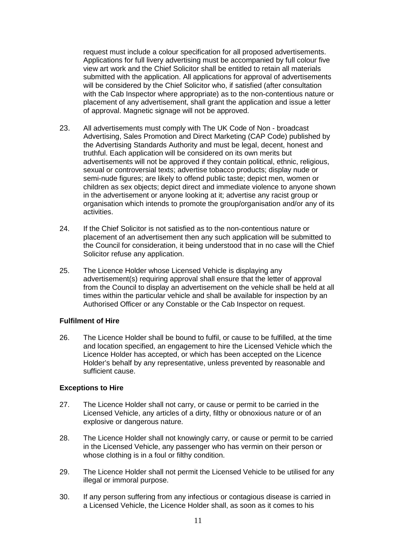request must include a colour specification for all proposed advertisements. Applications for full livery advertising must be accompanied by full colour five view art work and the Chief Solicitor shall be entitled to retain all materials submitted with the application. All applications for approval of advertisements will be considered by the Chief Solicitor who, if satisfied (after consultation with the Cab Inspector where appropriate) as to the non-contentious nature or placement of any advertisement, shall grant the application and issue a letter of approval. Magnetic signage will not be approved.

- 23. All advertisements must comply with The UK Code of Non broadcast Advertising, Sales Promotion and Direct Marketing (CAP Code) published by the Advertising Standards Authority and must be legal, decent, honest and truthful. Each application will be considered on its own merits but advertisements will not be approved if they contain political, ethnic, religious, sexual or controversial texts; advertise tobacco products; display nude or semi-nude figures; are likely to offend public taste; depict men, women or children as sex objects; depict direct and immediate violence to anyone shown in the advertisement or anyone looking at it; advertise any racist group or organisation which intends to promote the group/organisation and/or any of its activities.
- 24. If the Chief Solicitor is not satisfied as to the non-contentious nature or placement of an advertisement then any such application will be submitted to the Council for consideration, it being understood that in no case will the Chief Solicitor refuse any application.
- 25. The Licence Holder whose Licensed Vehicle is displaying any advertisement(s) requiring approval shall ensure that the letter of approval from the Council to display an advertisement on the vehicle shall be held at all times within the particular vehicle and shall be available for inspection by an Authorised Officer or any Constable or the Cab Inspector on request.

## **Fulfilment of Hire**

26. The Licence Holder shall be bound to fulfil, or cause to be fulfilled, at the time and location specified, an engagement to hire the Licensed Vehicle which the Licence Holder has accepted, or which has been accepted on the Licence Holder's behalf by any representative, unless prevented by reasonable and sufficient cause.

#### **Exceptions to Hire**

- 27. The Licence Holder shall not carry, or cause or permit to be carried in the Licensed Vehicle, any articles of a dirty, filthy or obnoxious nature or of an explosive or dangerous nature.
- 28. The Licence Holder shall not knowingly carry, or cause or permit to be carried in the Licensed Vehicle, any passenger who has vermin on their person or whose clothing is in a foul or filthy condition.
- 29. The Licence Holder shall not permit the Licensed Vehicle to be utilised for any illegal or immoral purpose.
- 30. If any person suffering from any infectious or contagious disease is carried in a Licensed Vehicle, the Licence Holder shall, as soon as it comes to his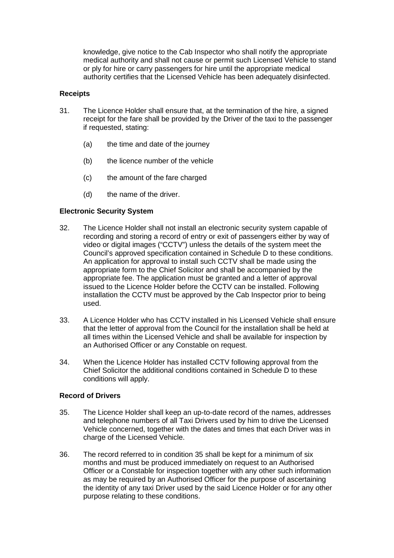knowledge, give notice to the Cab Inspector who shall notify the appropriate medical authority and shall not cause or permit such Licensed Vehicle to stand or ply for hire or carry passengers for hire until the appropriate medical authority certifies that the Licensed Vehicle has been adequately disinfected.

## **Receipts**

- 31. The Licence Holder shall ensure that, at the termination of the hire, a signed receipt for the fare shall be provided by the Driver of the taxi to the passenger if requested, stating:
	- (a) the time and date of the journey
	- (b) the licence number of the vehicle
	- (c) the amount of the fare charged
	- (d) the name of the driver.

## **Electronic Security System**

- 32. The Licence Holder shall not install an electronic security system capable of recording and storing a record of entry or exit of passengers either by way of video or digital images ("CCTV") unless the details of the system meet the Council's approved specification contained in Schedule D to these conditions. An application for approval to install such CCTV shall be made using the appropriate form to the Chief Solicitor and shall be accompanied by the appropriate fee. The application must be granted and a letter of approval issued to the Licence Holder before the CCTV can be installed. Following installation the CCTV must be approved by the Cab Inspector prior to being used.
- 33. A Licence Holder who has CCTV installed in his Licensed Vehicle shall ensure that the letter of approval from the Council for the installation shall be held at all times within the Licensed Vehicle and shall be available for inspection by an Authorised Officer or any Constable on request.
- 34. When the Licence Holder has installed CCTV following approval from the Chief Solicitor the additional conditions contained in Schedule D to these conditions will apply.

## **Record of Drivers**

- 35. The Licence Holder shall keep an up-to-date record of the names, addresses and telephone numbers of all Taxi Drivers used by him to drive the Licensed Vehicle concerned, together with the dates and times that each Driver was in charge of the Licensed Vehicle.
- 36. The record referred to in condition 35 shall be kept for a minimum of six months and must be produced immediately on request to an Authorised Officer or a Constable for inspection together with any other such information as may be required by an Authorised Officer for the purpose of ascertaining the identity of any taxi Driver used by the said Licence Holder or for any other purpose relating to these conditions.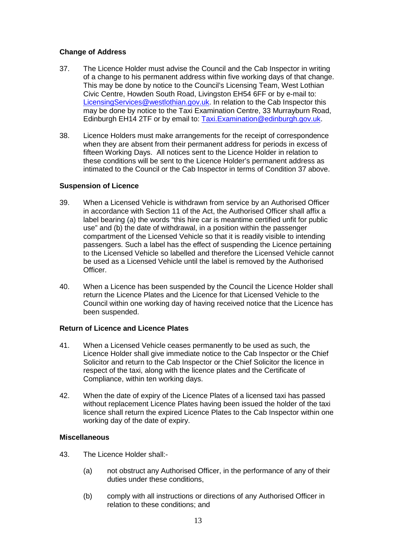## **Change of Address**

- 37. The Licence Holder must advise the Council and the Cab Inspector in writing of a change to his permanent address within five working days of that change. This may be done by notice to the Council's Licensing Team, West Lothian Civic Centre, Howden South Road, Livingston EH54 6FF or by e-mail to: [LicensingServices@westlothian.gov.uk.](mailto:LicensingServices@westlothian.gov.uk) In relation to the Cab Inspector this may be done by notice to the Taxi Examination Centre, 33 Murrayburn Road, Edinburgh EH14 2TF or by email to: [Taxi.Examination@edinburgh.gov.uk.](mailto:Taxi.Examination@edinburgh.gov.uk)
- 38. Licence Holders must make arrangements for the receipt of correspondence when they are absent from their permanent address for periods in excess of fifteen Working Days. All notices sent to the Licence Holder in relation to these conditions will be sent to the Licence Holder's permanent address as intimated to the Council or the Cab Inspector in terms of Condition 37 above.

## **Suspension of Licence**

- 39. When a Licensed Vehicle is withdrawn from service by an Authorised Officer in accordance with Section 11 of the Act, the Authorised Officer shall affix a label bearing (a) the words "this hire car is meantime certified unfit for public use" and (b) the date of withdrawal, in a position within the passenger compartment of the Licensed Vehicle so that it is readily visible to intending passengers. Such a label has the effect of suspending the Licence pertaining to the Licensed Vehicle so labelled and therefore the Licensed Vehicle cannot be used as a Licensed Vehicle until the label is removed by the Authorised Officer.
- 40. When a Licence has been suspended by the Council the Licence Holder shall return the Licence Plates and the Licence for that Licensed Vehicle to the Council within one working day of having received notice that the Licence has been suspended.

## **Return of Licence and Licence Plates**

- 41. When a Licensed Vehicle ceases permanently to be used as such, the Licence Holder shall give immediate notice to the Cab Inspector or the Chief Solicitor and return to the Cab Inspector or the Chief Solicitor the licence in respect of the taxi, along with the licence plates and the Certificate of Compliance, within ten working days.
- 42. When the date of expiry of the Licence Plates of a licensed taxi has passed without replacement Licence Plates having been issued the holder of the taxi licence shall return the expired Licence Plates to the Cab Inspector within one working day of the date of expiry.

## **Miscellaneous**

- 43. The Licence Holder shall:-
	- (a) not obstruct any Authorised Officer, in the performance of any of their duties under these conditions,
	- (b) comply with all instructions or directions of any Authorised Officer in relation to these conditions; and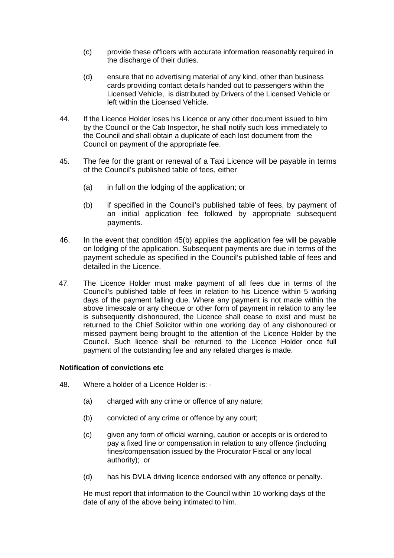- (c) provide these officers with accurate information reasonably required in the discharge of their duties.
- (d) ensure that no advertising material of any kind, other than business cards providing contact details handed out to passengers within the Licensed Vehicle, is distributed by Drivers of the Licensed Vehicle or left within the Licensed Vehicle.
- 44. If the Licence Holder loses his Licence or any other document issued to him by the Council or the Cab Inspector, he shall notify such loss immediately to the Council and shall obtain a duplicate of each lost document from the Council on payment of the appropriate fee.
- 45. The fee for the grant or renewal of a Taxi Licence will be payable in terms of the Council's published table of fees, either
	- (a) in full on the lodging of the application; or
	- (b) if specified in the Council's published table of fees, by payment of an initial application fee followed by appropriate subsequent payments.
- 46. In the event that condition 45(b) applies the application fee will be payable on lodging of the application. Subsequent payments are due in terms of the payment schedule as specified in the Council's published table of fees and detailed in the Licence.
- 47. The Licence Holder must make payment of all fees due in terms of the Council's published table of fees in relation to his Licence within 5 working days of the payment falling due. Where any payment is not made within the above timescale or any cheque or other form of payment in relation to any fee is subsequently dishonoured, the Licence shall cease to exist and must be returned to the Chief Solicitor within one working day of any dishonoured or missed payment being brought to the attention of the Licence Holder by the Council. Such licence shall be returned to the Licence Holder once full payment of the outstanding fee and any related charges is made.

## **Notification of convictions etc**

- 48. Where a holder of a Licence Holder is:
	- (a) charged with any crime or offence of any nature;
	- (b) convicted of any crime or offence by any court;
	- (c) given any form of official warning, caution or accepts or is ordered to pay a fixed fine or compensation in relation to any offence (including fines/compensation issued by the Procurator Fiscal or any local authority); or
	- (d) has his DVLA driving licence endorsed with any offence or penalty.

He must report that information to the Council within 10 working days of the date of any of the above being intimated to him.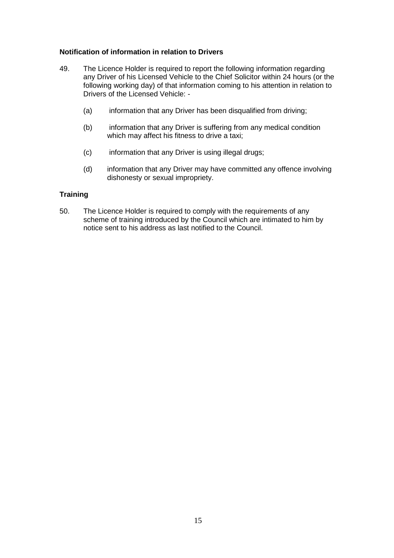## **Notification of information in relation to Drivers**

- 49. The Licence Holder is required to report the following information regarding any Driver of his Licensed Vehicle to the Chief Solicitor within 24 hours (or the following working day) of that information coming to his attention in relation to Drivers of the Licensed Vehicle: -
	- (a) information that any Driver has been disqualified from driving;
	- (b) information that any Driver is suffering from any medical condition which may affect his fitness to drive a taxi;
	- (c) information that any Driver is using illegal drugs;
	- (d) information that any Driver may have committed any offence involving dishonesty or sexual impropriety.

## **Training**

50. The Licence Holder is required to comply with the requirements of any scheme of training introduced by the Council which are intimated to him by notice sent to his address as last notified to the Council.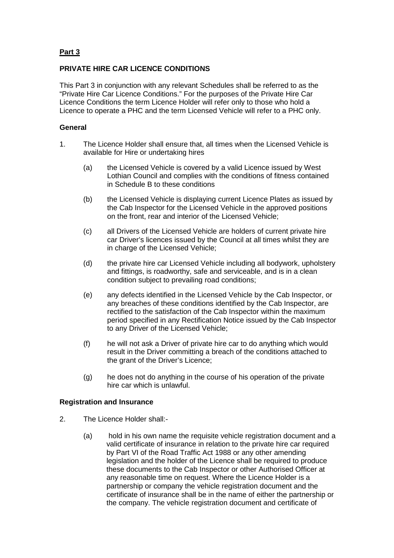# **Part 3**

# **PRIVATE HIRE CAR LICENCE CONDITIONS**

This Part 3 in conjunction with any relevant Schedules shall be referred to as the "Private Hire Car Licence Conditions." For the purposes of the Private Hire Car Licence Conditions the term Licence Holder will refer only to those who hold a Licence to operate a PHC and the term Licensed Vehicle will refer to a PHC only.

## **General**

- 1. The Licence Holder shall ensure that, all times when the Licensed Vehicle is available for Hire or undertaking hires
	- (a) the Licensed Vehicle is covered by a valid Licence issued by West Lothian Council and complies with the conditions of fitness contained in Schedule B to these conditions
	- (b) the Licensed Vehicle is displaying current Licence Plates as issued by the Cab Inspector for the Licensed Vehicle in the approved positions on the front, rear and interior of the Licensed Vehicle;
	- (c) all Drivers of the Licensed Vehicle are holders of current private hire car Driver's licences issued by the Council at all times whilst they are in charge of the Licensed Vehicle;
	- (d) the private hire car Licensed Vehicle including all bodywork, upholstery and fittings, is roadworthy, safe and serviceable, and is in a clean condition subject to prevailing road conditions;
	- (e) any defects identified in the Licensed Vehicle by the Cab Inspector, or any breaches of these conditions identified by the Cab Inspector, are rectified to the satisfaction of the Cab Inspector within the maximum period specified in any Rectification Notice issued by the Cab Inspector to any Driver of the Licensed Vehicle;
	- (f) he will not ask a Driver of private hire car to do anything which would result in the Driver committing a breach of the conditions attached to the grant of the Driver's Licence:
	- (g) he does not do anything in the course of his operation of the private hire car which is unlawful.

#### **Registration and Insurance**

- 2. The Licence Holder shall:-
	- (a) hold in his own name the requisite vehicle registration document and a valid certificate of insurance in relation to the private hire car required by Part VI of the Road Traffic Act 1988 or any other amending legislation and the holder of the Licence shall be required to produce these documents to the Cab Inspector or other Authorised Officer at any reasonable time on request. Where the Licence Holder is a partnership or company the vehicle registration document and the certificate of insurance shall be in the name of either the partnership or the company. The vehicle registration document and certificate of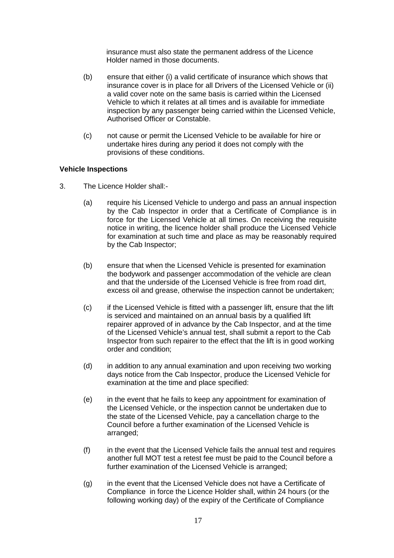insurance must also state the permanent address of the Licence Holder named in those documents.

- (b) ensure that either (i) a valid certificate of insurance which shows that insurance cover is in place for all Drivers of the Licensed Vehicle or (ii) a valid cover note on the same basis is carried within the Licensed Vehicle to which it relates at all times and is available for immediate inspection by any passenger being carried within the Licensed Vehicle, Authorised Officer or Constable.
- (c) not cause or permit the Licensed Vehicle to be available for hire or undertake hires during any period it does not comply with the provisions of these conditions.

## **Vehicle Inspections**

- 3. The Licence Holder shall:-
	- (a) require his Licensed Vehicle to undergo and pass an annual inspection by the Cab Inspector in order that a Certificate of Compliance is in force for the Licensed Vehicle at all times. On receiving the requisite notice in writing, the licence holder shall produce the Licensed Vehicle for examination at such time and place as may be reasonably required by the Cab Inspector;
	- (b) ensure that when the Licensed Vehicle is presented for examination the bodywork and passenger accommodation of the vehicle are clean and that the underside of the Licensed Vehicle is free from road dirt, excess oil and grease, otherwise the inspection cannot be undertaken;
	- (c) if the Licensed Vehicle is fitted with a passenger lift, ensure that the lift is serviced and maintained on an annual basis by a qualified lift repairer approved of in advance by the Cab Inspector, and at the time of the Licensed Vehicle's annual test, shall submit a report to the Cab Inspector from such repairer to the effect that the lift is in good working order and condition;
	- (d) in addition to any annual examination and upon receiving two working days notice from the Cab Inspector, produce the Licensed Vehicle for examination at the time and place specified:
	- (e) in the event that he fails to keep any appointment for examination of the Licensed Vehicle, or the inspection cannot be undertaken due to the state of the Licensed Vehicle, pay a cancellation charge to the Council before a further examination of the Licensed Vehicle is arranged;
	- (f) in the event that the Licensed Vehicle fails the annual test and requires another full MOT test a retest fee must be paid to the Council before a further examination of the Licensed Vehicle is arranged;
	- (g) in the event that the Licensed Vehicle does not have a Certificate of Compliance in force the Licence Holder shall, within 24 hours (or the following working day) of the expiry of the Certificate of Compliance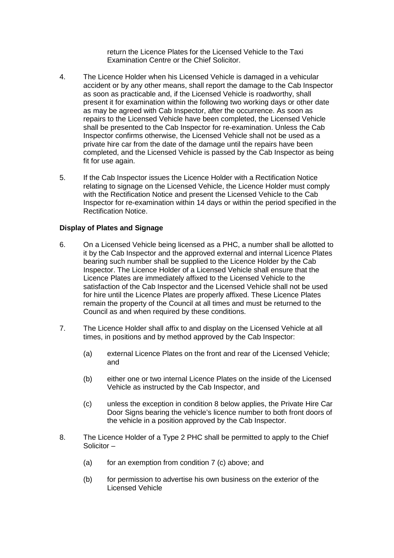return the Licence Plates for the Licensed Vehicle to the Taxi Examination Centre or the Chief Solicitor.

- 4. The Licence Holder when his Licensed Vehicle is damaged in a vehicular accident or by any other means, shall report the damage to the Cab Inspector as soon as practicable and, if the Licensed Vehicle is roadworthy, shall present it for examination within the following two working days or other date as may be agreed with Cab Inspector, after the occurrence. As soon as repairs to the Licensed Vehicle have been completed, the Licensed Vehicle shall be presented to the Cab Inspector for re-examination. Unless the Cab Inspector confirms otherwise, the Licensed Vehicle shall not be used as a private hire car from the date of the damage until the repairs have been completed, and the Licensed Vehicle is passed by the Cab Inspector as being fit for use again.
- 5. If the Cab Inspector issues the Licence Holder with a Rectification Notice relating to signage on the Licensed Vehicle, the Licence Holder must comply with the Rectification Notice and present the Licensed Vehicle to the Cab Inspector for re-examination within 14 days or within the period specified in the Rectification Notice.

#### **Display of Plates and Signage**

- 6. On a Licensed Vehicle being licensed as a PHC, a number shall be allotted to it by the Cab Inspector and the approved external and internal Licence Plates bearing such number shall be supplied to the Licence Holder by the Cab Inspector. The Licence Holder of a Licensed Vehicle shall ensure that the Licence Plates are immediately affixed to the Licensed Vehicle to the satisfaction of the Cab Inspector and the Licensed Vehicle shall not be used for hire until the Licence Plates are properly affixed. These Licence Plates remain the property of the Council at all times and must be returned to the Council as and when required by these conditions.
- 7. The Licence Holder shall affix to and display on the Licensed Vehicle at all times, in positions and by method approved by the Cab Inspector:
	- (a) external Licence Plates on the front and rear of the Licensed Vehicle; and
	- (b) either one or two internal Licence Plates on the inside of the Licensed Vehicle as instructed by the Cab Inspector, and
	- (c) unless the exception in condition 8 below applies, the Private Hire Car Door Signs bearing the vehicle's licence number to both front doors of the vehicle in a position approved by the Cab Inspector.
- 8. The Licence Holder of a Type 2 PHC shall be permitted to apply to the Chief Solicitor –
	- (a) for an exemption from condition 7 (c) above; and
	- (b) for permission to advertise his own business on the exterior of the Licensed Vehicle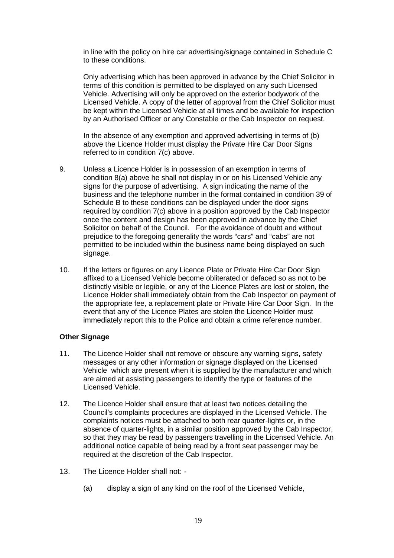in line with the policy on hire car advertising/signage contained in Schedule C to these conditions.

Only advertising which has been approved in advance by the Chief Solicitor in terms of this condition is permitted to be displayed on any such Licensed Vehicle. Advertising will only be approved on the exterior bodywork of the Licensed Vehicle. A copy of the letter of approval from the Chief Solicitor must be kept within the Licensed Vehicle at all times and be available for inspection by an Authorised Officer or any Constable or the Cab Inspector on request.

In the absence of any exemption and approved advertising in terms of (b) above the Licence Holder must display the Private Hire Car Door Signs referred to in condition 7(c) above.

- 9. Unless a Licence Holder is in possession of an exemption in terms of condition 8(a) above he shall not display in or on his Licensed Vehicle any signs for the purpose of advertising. A sign indicating the name of the business and the telephone number in the format contained in condition 39 of Schedule B to these conditions can be displayed under the door signs required by condition 7(c) above in a position approved by the Cab Inspector once the content and design has been approved in advance by the Chief Solicitor on behalf of the Council. For the avoidance of doubt and without prejudice to the foregoing generality the words "cars" and "cabs" are not permitted to be included within the business name being displayed on such signage.
- 10. If the letters or figures on any Licence Plate or Private Hire Car Door Sign affixed to a Licensed Vehicle become obliterated or defaced so as not to be distinctly visible or legible, or any of the Licence Plates are lost or stolen, the Licence Holder shall immediately obtain from the Cab Inspector on payment of the appropriate fee, a replacement plate or Private Hire Car Door Sign. In the event that any of the Licence Plates are stolen the Licence Holder must immediately report this to the Police and obtain a crime reference number.

## **Other Signage**

- 11. The Licence Holder shall not remove or obscure any warning signs, safety messages or any other information or signage displayed on the Licensed Vehicle which are present when it is supplied by the manufacturer and which are aimed at assisting passengers to identify the type or features of the Licensed Vehicle.
- 12. The Licence Holder shall ensure that at least two notices detailing the Council's complaints procedures are displayed in the Licensed Vehicle. The complaints notices must be attached to both rear quarter-lights or, in the absence of quarter-lights, in a similar position approved by the Cab Inspector, so that they may be read by passengers travelling in the Licensed Vehicle. An additional notice capable of being read by a front seat passenger may be required at the discretion of the Cab Inspector.
- 13. The Licence Holder shall not:
	- (a) display a sign of any kind on the roof of the Licensed Vehicle,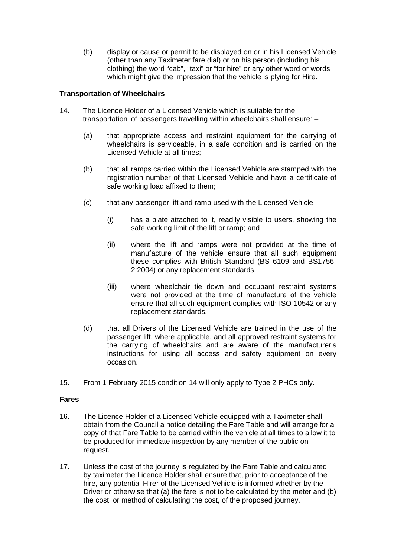(b) display or cause or permit to be displayed on or in his Licensed Vehicle (other than any Taximeter fare dial) or on his person (including his clothing) the word "cab", "taxi" or "for hire" or any other word or words which might give the impression that the vehicle is plying for Hire.

## **Transportation of Wheelchairs**

- 14. The Licence Holder of a Licensed Vehicle which is suitable for the transportation of passengers travelling within wheelchairs shall ensure: –
	- (a) that appropriate access and restraint equipment for the carrying of wheelchairs is serviceable, in a safe condition and is carried on the Licensed Vehicle at all times;
	- (b) that all ramps carried within the Licensed Vehicle are stamped with the registration number of that Licensed Vehicle and have a certificate of safe working load affixed to them;
	- (c) that any passenger lift and ramp used with the Licensed Vehicle
		- (i) has a plate attached to it, readily visible to users, showing the safe working limit of the lift or ramp; and
		- (ii) where the lift and ramps were not provided at the time of manufacture of the vehicle ensure that all such equipment these complies with British Standard (BS 6109 and BS1756- 2:2004) or any replacement standards.
		- (iii) where wheelchair tie down and occupant restraint systems were not provided at the time of manufacture of the vehicle ensure that all such equipment complies with ISO 10542 or any replacement standards.
	- (d) that all Drivers of the Licensed Vehicle are trained in the use of the passenger lift, where applicable, and all approved restraint systems for the carrying of wheelchairs and are aware of the manufacturer's instructions for using all access and safety equipment on every occasion.
- 15. From 1 February 2015 condition 14 will only apply to Type 2 PHCs only.

## **Fares**

- 16. The Licence Holder of a Licensed Vehicle equipped with a Taximeter shall obtain from the Council a notice detailing the Fare Table and will arrange for a copy of that Fare Table to be carried within the vehicle at all times to allow it to be produced for immediate inspection by any member of the public on request.
- 17. Unless the cost of the journey is regulated by the Fare Table and calculated by taximeter the Licence Holder shall ensure that, prior to acceptance of the hire, any potential Hirer of the Licensed Vehicle is informed whether by the Driver or otherwise that (a) the fare is not to be calculated by the meter and (b) the cost, or method of calculating the cost, of the proposed journey.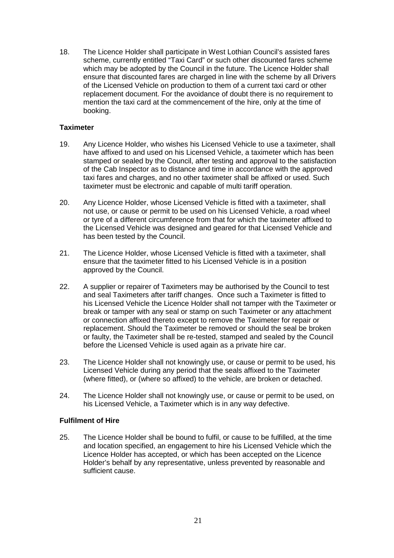18. The Licence Holder shall participate in West Lothian Council's assisted fares scheme, currently entitled "Taxi Card" or such other discounted fares scheme which may be adopted by the Council in the future. The Licence Holder shall ensure that discounted fares are charged in line with the scheme by all Drivers of the Licensed Vehicle on production to them of a current taxi card or other replacement document. For the avoidance of doubt there is no requirement to mention the taxi card at the commencement of the hire, only at the time of booking.

## **Taximeter**

- 19. Any Licence Holder, who wishes his Licensed Vehicle to use a taximeter, shall have affixed to and used on his Licensed Vehicle, a taximeter which has been stamped or sealed by the Council, after testing and approval to the satisfaction of the Cab Inspector as to distance and time in accordance with the approved taxi fares and charges, and no other taximeter shall be affixed or used. Such taximeter must be electronic and capable of multi tariff operation.
- 20. Any Licence Holder, whose Licensed Vehicle is fitted with a taximeter, shall not use, or cause or permit to be used on his Licensed Vehicle, a road wheel or tyre of a different circumference from that for which the taximeter affixed to the Licensed Vehicle was designed and geared for that Licensed Vehicle and has been tested by the Council.
- 21. The Licence Holder, whose Licensed Vehicle is fitted with a taximeter, shall ensure that the taximeter fitted to his Licensed Vehicle is in a position approved by the Council.
- 22. A supplier or repairer of Taximeters may be authorised by the Council to test and seal Taximeters after tariff changes. Once such a Taximeter is fitted to his Licensed Vehicle the Licence Holder shall not tamper with the Taximeter or break or tamper with any seal or stamp on such Taximeter or any attachment or connection affixed thereto except to remove the Taximeter for repair or replacement. Should the Taximeter be removed or should the seal be broken or faulty, the Taximeter shall be re-tested, stamped and sealed by the Council before the Licensed Vehicle is used again as a private hire car.
- 23. The Licence Holder shall not knowingly use, or cause or permit to be used, his Licensed Vehicle during any period that the seals affixed to the Taximeter (where fitted), or (where so affixed) to the vehicle, are broken or detached.
- 24. The Licence Holder shall not knowingly use, or cause or permit to be used, on his Licensed Vehicle, a Taximeter which is in any way defective.

## **Fulfilment of Hire**

25. The Licence Holder shall be bound to fulfil, or cause to be fulfilled, at the time and location specified, an engagement to hire his Licensed Vehicle which the Licence Holder has accepted, or which has been accepted on the Licence Holder's behalf by any representative, unless prevented by reasonable and sufficient cause.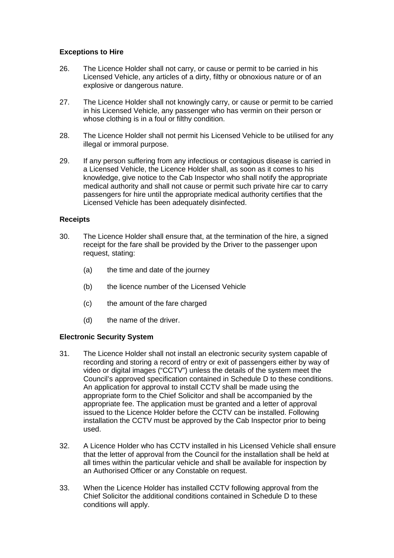## **Exceptions to Hire**

- 26. The Licence Holder shall not carry, or cause or permit to be carried in his Licensed Vehicle, any articles of a dirty, filthy or obnoxious nature or of an explosive or dangerous nature.
- 27. The Licence Holder shall not knowingly carry, or cause or permit to be carried in his Licensed Vehicle, any passenger who has vermin on their person or whose clothing is in a foul or filthy condition.
- 28. The Licence Holder shall not permit his Licensed Vehicle to be utilised for any illegal or immoral purpose.
- 29. If any person suffering from any infectious or contagious disease is carried in a Licensed Vehicle, the Licence Holder shall, as soon as it comes to his knowledge, give notice to the Cab Inspector who shall notify the appropriate medical authority and shall not cause or permit such private hire car to carry passengers for hire until the appropriate medical authority certifies that the Licensed Vehicle has been adequately disinfected.

# **Receipts**

- 30. The Licence Holder shall ensure that, at the termination of the hire, a signed receipt for the fare shall be provided by the Driver to the passenger upon request, stating:
	- (a) the time and date of the journey
	- (b) the licence number of the Licensed Vehicle
	- (c) the amount of the fare charged
	- (d) the name of the driver.

## **Electronic Security System**

- 31. The Licence Holder shall not install an electronic security system capable of recording and storing a record of entry or exit of passengers either by way of video or digital images ("CCTV") unless the details of the system meet the Council's approved specification contained in Schedule D to these conditions. An application for approval to install CCTV shall be made using the appropriate form to the Chief Solicitor and shall be accompanied by the appropriate fee. The application must be granted and a letter of approval issued to the Licence Holder before the CCTV can be installed. Following installation the CCTV must be approved by the Cab Inspector prior to being used.
- 32. A Licence Holder who has CCTV installed in his Licensed Vehicle shall ensure that the letter of approval from the Council for the installation shall be held at all times within the particular vehicle and shall be available for inspection by an Authorised Officer or any Constable on request.
- 33. When the Licence Holder has installed CCTV following approval from the Chief Solicitor the additional conditions contained in Schedule D to these conditions will apply.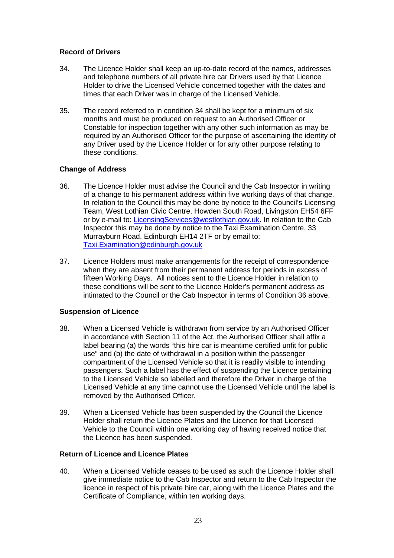## **Record of Drivers**

- 34. The Licence Holder shall keep an up-to-date record of the names, addresses and telephone numbers of all private hire car Drivers used by that Licence Holder to drive the Licensed Vehicle concerned together with the dates and times that each Driver was in charge of the Licensed Vehicle.
- 35. The record referred to in condition 34 shall be kept for a minimum of six months and must be produced on request to an Authorised Officer or Constable for inspection together with any other such information as may be required by an Authorised Officer for the purpose of ascertaining the identity of any Driver used by the Licence Holder or for any other purpose relating to these conditions.

# **Change of Address**

- 36. The Licence Holder must advise the Council and the Cab Inspector in writing of a change to his permanent address within five working days of that change. In relation to the Council this may be done by notice to the Council's Licensing Team, West Lothian Civic Centre, Howden South Road, Livingston EH54 6FF or by e-mail to: [LicensingServices@westlothian.gov.uk.](mailto:LicensingServices@westlothian.gov.uk) In relation to the Cab Inspector this may be done by notice to the Taxi Examination Centre, 33 Murrayburn Road, Edinburgh EH14 2TF or by email to: [Taxi.Examination@edinburgh.gov.uk](mailto:Taxi.Examination@edinburgh.gov.uk)
- 37. Licence Holders must make arrangements for the receipt of correspondence when they are absent from their permanent address for periods in excess of fifteen Working Days. All notices sent to the Licence Holder in relation to these conditions will be sent to the Licence Holder's permanent address as intimated to the Council or the Cab Inspector in terms of Condition 36 above.

# **Suspension of Licence**

- 38. When a Licensed Vehicle is withdrawn from service by an Authorised Officer in accordance with Section 11 of the Act, the Authorised Officer shall affix a label bearing (a) the words "this hire car is meantime certified unfit for public use" and (b) the date of withdrawal in a position within the passenger compartment of the Licensed Vehicle so that it is readily visible to intending passengers. Such a label has the effect of suspending the Licence pertaining to the Licensed Vehicle so labelled and therefore the Driver in charge of the Licensed Vehicle at any time cannot use the Licensed Vehicle until the label is removed by the Authorised Officer.
- 39. When a Licensed Vehicle has been suspended by the Council the Licence Holder shall return the Licence Plates and the Licence for that Licensed Vehicle to the Council within one working day of having received notice that the Licence has been suspended.

## **Return of Licence and Licence Plates**

40. When a Licensed Vehicle ceases to be used as such the Licence Holder shall give immediate notice to the Cab Inspector and return to the Cab Inspector the licence in respect of his private hire car, along with the Licence Plates and the Certificate of Compliance, within ten working days.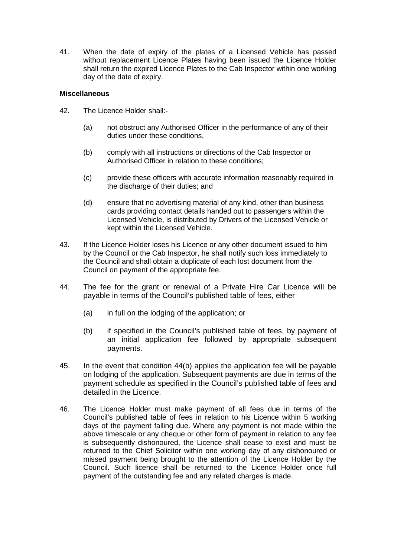41. When the date of expiry of the plates of a Licensed Vehicle has passed without replacement Licence Plates having been issued the Licence Holder shall return the expired Licence Plates to the Cab Inspector within one working day of the date of expiry.

## **Miscellaneous**

- 42. The Licence Holder shall:-
	- (a) not obstruct any Authorised Officer in the performance of any of their duties under these conditions,
	- (b) comply with all instructions or directions of the Cab Inspector or Authorised Officer in relation to these conditions;
	- (c) provide these officers with accurate information reasonably required in the discharge of their duties; and
	- (d) ensure that no advertising material of any kind, other than business cards providing contact details handed out to passengers within the Licensed Vehicle, is distributed by Drivers of the Licensed Vehicle or kept within the Licensed Vehicle.
- 43. If the Licence Holder loses his Licence or any other document issued to him by the Council or the Cab Inspector, he shall notify such loss immediately to the Council and shall obtain a duplicate of each lost document from the Council on payment of the appropriate fee.
- 44. The fee for the grant or renewal of a Private Hire Car Licence will be payable in terms of the Council's published table of fees, either
	- (a) in full on the lodging of the application; or
	- (b) if specified in the Council's published table of fees, by payment of an initial application fee followed by appropriate subsequent payments.
- 45. In the event that condition 44(b) applies the application fee will be payable on lodging of the application. Subsequent payments are due in terms of the payment schedule as specified in the Council's published table of fees and detailed in the Licence.
- 46. The Licence Holder must make payment of all fees due in terms of the Council's published table of fees in relation to his Licence within 5 working days of the payment falling due. Where any payment is not made within the above timescale or any cheque or other form of payment in relation to any fee is subsequently dishonoured, the Licence shall cease to exist and must be returned to the Chief Solicitor within one working day of any dishonoured or missed payment being brought to the attention of the Licence Holder by the Council. Such licence shall be returned to the Licence Holder once full payment of the outstanding fee and any related charges is made.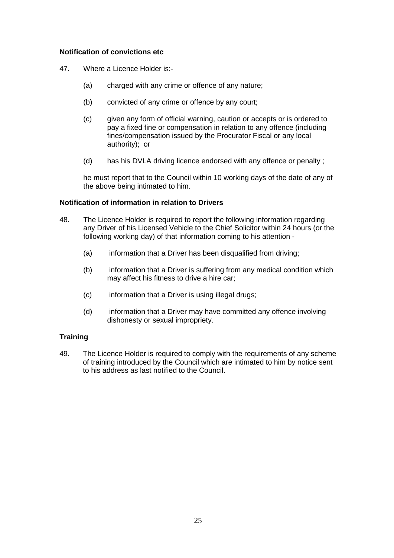## **Notification of convictions etc**

- 47. Where a Licence Holder is:-
	- (a) charged with any crime or offence of any nature;
	- (b) convicted of any crime or offence by any court;
	- (c) given any form of official warning, caution or accepts or is ordered to pay a fixed fine or compensation in relation to any offence (including fines/compensation issued by the Procurator Fiscal or any local authority); or
	- (d) has his DVLA driving licence endorsed with any offence or penalty ;

he must report that to the Council within 10 working days of the date of any of the above being intimated to him.

#### **Notification of information in relation to Drivers**

- 48. The Licence Holder is required to report the following information regarding any Driver of his Licensed Vehicle to the Chief Solicitor within 24 hours (or the following working day) of that information coming to his attention -
	- (a) information that a Driver has been disqualified from driving;
	- (b) information that a Driver is suffering from any medical condition which may affect his fitness to drive a hire car;
	- (c) information that a Driver is using illegal drugs;
	- (d) information that a Driver may have committed any offence involving dishonesty or sexual impropriety.

## **Training**

49. The Licence Holder is required to comply with the requirements of any scheme of training introduced by the Council which are intimated to him by notice sent to his address as last notified to the Council.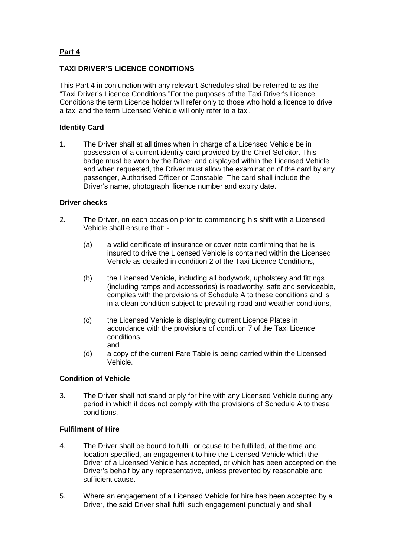# **Part 4**

# **TAXI DRIVER'S LICENCE CONDITIONS**

This Part 4 in conjunction with any relevant Schedules shall be referred to as the "Taxi Driver's Licence Conditions."For the purposes of the Taxi Driver's Licence Conditions the term Licence holder will refer only to those who hold a licence to drive a taxi and the term Licensed Vehicle will only refer to a taxi.

## **Identity Card**

1. The Driver shall at all times when in charge of a Licensed Vehicle be in possession of a current identity card provided by the Chief Solicitor. This badge must be worn by the Driver and displayed within the Licensed Vehicle and when requested, the Driver must allow the examination of the card by any passenger, Authorised Officer or Constable. The card shall include the Driver's name, photograph, licence number and expiry date.

## **Driver checks**

- 2. The Driver, on each occasion prior to commencing his shift with a Licensed Vehicle shall ensure that: -
	- (a) a valid certificate of insurance or cover note confirming that he is insured to drive the Licensed Vehicle is contained within the Licensed Vehicle as detailed in condition 2 of the Taxi Licence Conditions,
	- (b) the Licensed Vehicle, including all bodywork, upholstery and fittings (including ramps and accessories) is roadworthy, safe and serviceable, complies with the provisions of Schedule A to these conditions and is in a clean condition subject to prevailing road and weather conditions,
	- (c) the Licensed Vehicle is displaying current Licence Plates in accordance with the provisions of condition 7 of the Taxi Licence conditions. and
	- (d) a copy of the current Fare Table is being carried within the Licensed Vehicle.

## **Condition of Vehicle**

3. The Driver shall not stand or ply for hire with any Licensed Vehicle during any period in which it does not comply with the provisions of Schedule A to these conditions.

## **Fulfilment of Hire**

- 4. The Driver shall be bound to fulfil, or cause to be fulfilled, at the time and location specified, an engagement to hire the Licensed Vehicle which the Driver of a Licensed Vehicle has accepted, or which has been accepted on the Driver's behalf by any representative, unless prevented by reasonable and sufficient cause.
- 5. Where an engagement of a Licensed Vehicle for hire has been accepted by a Driver, the said Driver shall fulfil such engagement punctually and shall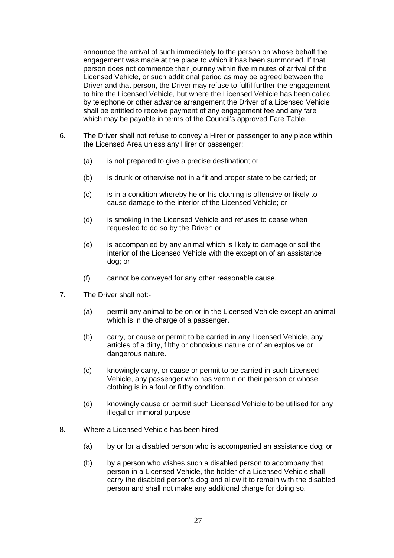announce the arrival of such immediately to the person on whose behalf the engagement was made at the place to which it has been summoned. If that person does not commence their journey within five minutes of arrival of the Licensed Vehicle, or such additional period as may be agreed between the Driver and that person, the Driver may refuse to fulfil further the engagement to hire the Licensed Vehicle, but where the Licensed Vehicle has been called by telephone or other advance arrangement the Driver of a Licensed Vehicle shall be entitled to receive payment of any engagement fee and any fare which may be payable in terms of the Council's approved Fare Table.

- 6. The Driver shall not refuse to convey a Hirer or passenger to any place within the Licensed Area unless any Hirer or passenger:
	- (a) is not prepared to give a precise destination; or
	- (b) is drunk or otherwise not in a fit and proper state to be carried; or
	- (c) is in a condition whereby he or his clothing is offensive or likely to cause damage to the interior of the Licensed Vehicle; or
	- (d) is smoking in the Licensed Vehicle and refuses to cease when requested to do so by the Driver; or
	- (e) is accompanied by any animal which is likely to damage or soil the interior of the Licensed Vehicle with the exception of an assistance dog; or
	- (f) cannot be conveyed for any other reasonable cause.
- 7. The Driver shall not:-
	- (a) permit any animal to be on or in the Licensed Vehicle except an animal which is in the charge of a passenger.
	- (b) carry, or cause or permit to be carried in any Licensed Vehicle, any articles of a dirty, filthy or obnoxious nature or of an explosive or dangerous nature.
	- (c) knowingly carry, or cause or permit to be carried in such Licensed Vehicle, any passenger who has vermin on their person or whose clothing is in a foul or filthy condition.
	- (d) knowingly cause or permit such Licensed Vehicle to be utilised for any illegal or immoral purpose
- 8. Where a Licensed Vehicle has been hired:-
	- (a) by or for a disabled person who is accompanied an assistance dog; or
	- (b) by a person who wishes such a disabled person to accompany that person in a Licensed Vehicle, the holder of a Licensed Vehicle shall carry the disabled person's dog and allow it to remain with the disabled person and shall not make any additional charge for doing so.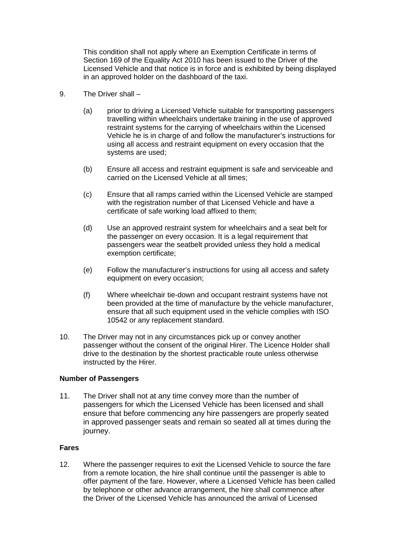This condition shall not apply where an Exemption Certificate in terms of Section 169 of the Equality Act 2010 has been issued to the Driver of the Licensed Vehicle and that notice is in force and is exhibited by being displayed in an approved holder on the dashboard of the taxi.

- 9. The Driver shall
	- (a) prior to driving a Licensed Vehicle suitable for transporting passengers travelling within wheelchairs undertake training in the use of approved restraint systems for the carrying of wheelchairs within the Licensed Vehicle he is in charge of and follow the manufacturer's instructions for using all access and restraint equipment on every occasion that the systems are used;
	- (b) Ensure all access and restraint equipment is safe and serviceable and carried on the Licensed Vehicle at all times;
	- (c) Ensure that all ramps carried within the Licensed Vehicle are stamped with the registration number of that Licensed Vehicle and have a certificate of safe working load affixed to them;
	- (d) Use an approved restraint system for wheelchairs and a seat belt for the passenger on every occasion. It is a legal requirement that passengers wear the seatbelt provided unless they hold a medical exemption certificate;
	- (e) Follow the manufacturer's instructions for using all access and safety equipment on every occasion;
	- (f) Where wheelchair tie-down and occupant restraint systems have not been provided at the time of manufacture by the vehicle manufacturer, ensure that all such equipment used in the vehicle complies with ISO 10542 or any replacement standard.
- 10. The Driver may not in any circumstances pick up or convey another passenger without the consent of the original Hirer. The Licence Holder shall drive to the destination by the shortest practicable route unless otherwise instructed by the Hirer.

## **Number of Passengers**

11. The Driver shall not at any time convey more than the number of passengers for which the Licensed Vehicle has been licensed and shall ensure that before commencing any hire passengers are properly seated in approved passenger seats and remain so seated all at times during the journey.

#### **Fares**

12. Where the passenger requires to exit the Licensed Vehicle to source the fare from a remote location, the hire shall continue until the passenger is able to offer payment of the fare. However, where a Licensed Vehicle has been called by telephone or other advance arrangement, the hire shall commence after the Driver of the Licensed Vehicle has announced the arrival of Licensed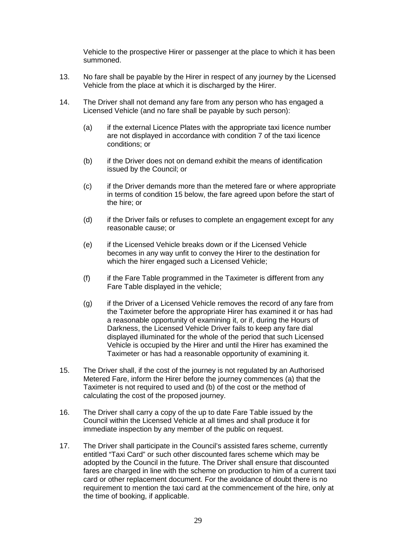Vehicle to the prospective Hirer or passenger at the place to which it has been summoned.

- 13. No fare shall be payable by the Hirer in respect of any journey by the Licensed Vehicle from the place at which it is discharged by the Hirer.
- 14. The Driver shall not demand any fare from any person who has engaged a Licensed Vehicle (and no fare shall be payable by such person):
	- (a) if the external Licence Plates with the appropriate taxi licence number are not displayed in accordance with condition 7 of the taxi licence conditions; or
	- (b) if the Driver does not on demand exhibit the means of identification issued by the Council; or
	- (c) if the Driver demands more than the metered fare or where appropriate in terms of condition 15 below, the fare agreed upon before the start of the hire; or
	- (d) if the Driver fails or refuses to complete an engagement except for any reasonable cause; or
	- (e) if the Licensed Vehicle breaks down or if the Licensed Vehicle becomes in any way unfit to convey the Hirer to the destination for which the hirer engaged such a Licensed Vehicle;
	- (f) if the Fare Table programmed in the Taximeter is different from any Fare Table displayed in the vehicle;
	- (g) if the Driver of a Licensed Vehicle removes the record of any fare from the Taximeter before the appropriate Hirer has examined it or has had a reasonable opportunity of examining it, or if, during the Hours of Darkness, the Licensed Vehicle Driver fails to keep any fare dial displayed illuminated for the whole of the period that such Licensed Vehicle is occupied by the Hirer and until the Hirer has examined the Taximeter or has had a reasonable opportunity of examining it.
- 15. The Driver shall, if the cost of the journey is not regulated by an Authorised Metered Fare, inform the Hirer before the journey commences (a) that the Taximeter is not required to used and (b) of the cost or the method of calculating the cost of the proposed journey.
- 16. The Driver shall carry a copy of the up to date Fare Table issued by the Council within the Licensed Vehicle at all times and shall produce it for immediate inspection by any member of the public on request.
- 17. The Driver shall participate in the Council's assisted fares scheme, currently entitled "Taxi Card" or such other discounted fares scheme which may be adopted by the Council in the future. The Driver shall ensure that discounted fares are charged in line with the scheme on production to him of a current taxi card or other replacement document. For the avoidance of doubt there is no requirement to mention the taxi card at the commencement of the hire, only at the time of booking, if applicable.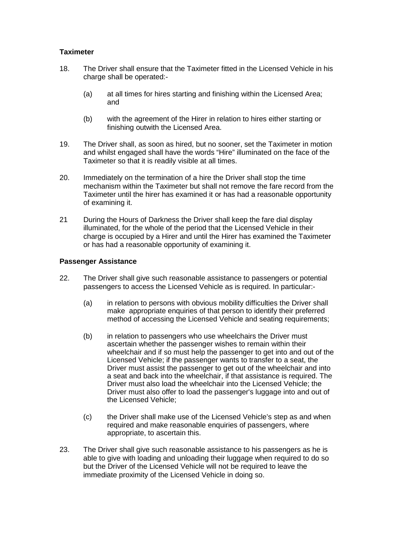## **Taximeter**

- 18. The Driver shall ensure that the Taximeter fitted in the Licensed Vehicle in his charge shall be operated:-
	- (a) at all times for hires starting and finishing within the Licensed Area; and
	- (b) with the agreement of the Hirer in relation to hires either starting or finishing outwith the Licensed Area.
- 19. The Driver shall, as soon as hired, but no sooner, set the Taximeter in motion and whilst engaged shall have the words "Hire" illuminated on the face of the Taximeter so that it is readily visible at all times.
- 20. Immediately on the termination of a hire the Driver shall stop the time mechanism within the Taximeter but shall not remove the fare record from the Taximeter until the hirer has examined it or has had a reasonable opportunity of examining it.
- 21 During the Hours of Darkness the Driver shall keep the fare dial display illuminated, for the whole of the period that the Licensed Vehicle in their charge is occupied by a Hirer and until the Hirer has examined the Taximeter or has had a reasonable opportunity of examining it.

#### **Passenger Assistance**

- 22. The Driver shall give such reasonable assistance to passengers or potential passengers to access the Licensed Vehicle as is required. In particular:-
	- (a) in relation to persons with obvious mobility difficulties the Driver shall make appropriate enquiries of that person to identify their preferred method of accessing the Licensed Vehicle and seating requirements;
	- (b) in relation to passengers who use wheelchairs the Driver must ascertain whether the passenger wishes to remain within their wheelchair and if so must help the passenger to get into and out of the Licensed Vehicle; if the passenger wants to transfer to a seat, the Driver must assist the passenger to get out of the wheelchair and into a seat and back into the wheelchair, if that assistance is required. The Driver must also load the wheelchair into the Licensed Vehicle; the Driver must also offer to load the passenger's luggage into and out of the Licensed Vehicle;
	- (c) the Driver shall make use of the Licensed Vehicle's step as and when required and make reasonable enquiries of passengers, where appropriate, to ascertain this.
- 23. The Driver shall give such reasonable assistance to his passengers as he is able to give with loading and unloading their luggage when required to do so but the Driver of the Licensed Vehicle will not be required to leave the immediate proximity of the Licensed Vehicle in doing so.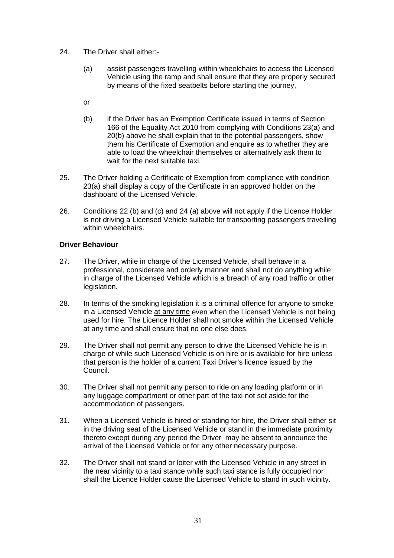- 24. The Driver shall either:-
	- (a) assist passengers travelling within wheelchairs to access the Licensed Vehicle using the ramp and shall ensure that they are properly secured by means of the fixed seatbelts before starting the journey,
	- or
	- (b) if the Driver has an Exemption Certificate issued in terms of Section 166 of the Equality Act 2010 from complying with Conditions 23(a) and 20(b) above he shall explain that to the potential passengers, show them his Certificate of Exemption and enquire as to whether they are able to load the wheelchair themselves or alternatively ask them to wait for the next suitable taxi.
- 25. The Driver holding a Certificate of Exemption from compliance with condition 23(a) shall display a copy of the Certificate in an approved holder on the dashboard of the Licensed Vehicle.
- 26. Conditions 22 (b) and (c) and 24 (a) above will not apply if the Licence Holder is not driving a Licensed Vehicle suitable for transporting passengers travelling within wheelchairs.

#### **Driver Behaviour**

- 27. The Driver, while in charge of the Licensed Vehicle, shall behave in a professional, considerate and orderly manner and shall not do anything while in charge of the Licensed Vehicle which is a breach of any road traffic or other legislation.
- 28. In terms of the smoking legislation it is a criminal offence for anyone to smoke in a Licensed Vehicle at any time even when the Licensed Vehicle is not being used for hire. The Licence Holder shall not smoke within the Licensed Vehicle at any time and shall ensure that no one else does.
- 29. The Driver shall not permit any person to drive the Licensed Vehicle he is in charge of while such Licensed Vehicle is on hire or is available for hire unless that person is the holder of a current Taxi Driver's licence issued by the Council.
- 30. The Driver shall not permit any person to ride on any loading platform or in any luggage compartment or other part of the taxi not set aside for the accommodation of passengers.
- 31. When a Licensed Vehicle is hired or standing for hire, the Driver shall either sit in the driving seat of the Licensed Vehicle or stand in the immediate proximity thereto except during any period the Driver may be absent to announce the arrival of the Licensed Vehicle or for any other necessary purpose.
- 32. The Driver shall not stand or loiter with the Licensed Vehicle in any street in the near vicinity to a taxi stance while such taxi stance is fully occupied nor shall the Licence Holder cause the Licensed Vehicle to stand in such vicinity.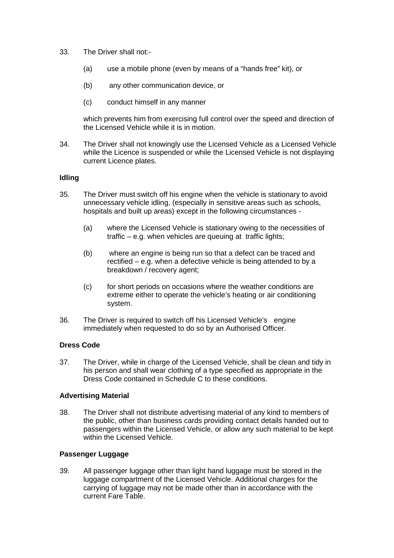- 33. The Driver shall not:-
	- (a) use a mobile phone (even by means of a "hands free" kit), or
	- (b) any other communication device, or
	- (c) conduct himself in any manner

which prevents him from exercising full control over the speed and direction of the Licensed Vehicle while it is in motion.

34. The Driver shall not knowingly use the Licensed Vehicle as a Licensed Vehicle while the Licence is suspended or while the Licensed Vehicle is not displaying current Licence plates.

#### **Idling**

- 35. The Driver must switch off his engine when the vehicle is stationary to avoid unnecessary vehicle idling, (especially in sensitive areas such as schools, hospitals and built up areas) except in the following circumstances -
	- (a) where the Licensed Vehicle is stationary owing to the necessities of traffic – e.g. when vehicles are queuing at traffic lights;
	- (b) where an engine is being run so that a defect can be traced and rectified – e.g. when a defective vehicle is being attended to by a breakdown / recovery agent;
	- (c) for short periods on occasions where the weather conditions are extreme either to operate the vehicle's heating or air conditioning system.
- 36. The Driver is required to switch off his Licensed Vehicle's engine immediately when requested to do so by an Authorised Officer.

## **Dress Code**

37. The Driver, while in charge of the Licensed Vehicle, shall be clean and tidy in his person and shall wear clothing of a type specified as appropriate in the Dress Code contained in Schedule C to these conditions.

#### **Advertising Material**

38. The Driver shall not distribute advertising material of any kind to members of the public, other than business cards providing contact details handed out to passengers within the Licensed Vehicle, or allow any such material to be kept within the Licensed Vehicle.

## **Passenger Luggage**

39. All passenger luggage other than light hand luggage must be stored in the luggage compartment of the Licensed Vehicle. Additional charges for the carrying of luggage may not be made other than in accordance with the current Fare Table.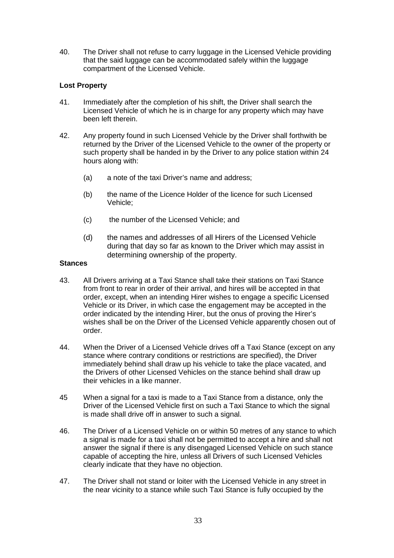40. The Driver shall not refuse to carry luggage in the Licensed Vehicle providing that the said luggage can be accommodated safely within the luggage compartment of the Licensed Vehicle.

# **Lost Property**

- 41. Immediately after the completion of his shift, the Driver shall search the Licensed Vehicle of which he is in charge for any property which may have been left therein.
- 42. Any property found in such Licensed Vehicle by the Driver shall forthwith be returned by the Driver of the Licensed Vehicle to the owner of the property or such property shall be handed in by the Driver to any police station within 24 hours along with:
	- (a) a note of the taxi Driver's name and address;
	- (b) the name of the Licence Holder of the licence for such Licensed Vehicle;
	- (c) the number of the Licensed Vehicle; and
	- (d) the names and addresses of all Hirers of the Licensed Vehicle during that day so far as known to the Driver which may assist in determining ownership of the property.

#### **Stances**

- 43. All Drivers arriving at a Taxi Stance shall take their stations on Taxi Stance from front to rear in order of their arrival, and hires will be accepted in that order, except, when an intending Hirer wishes to engage a specific Licensed Vehicle or its Driver, in which case the engagement may be accepted in the order indicated by the intending Hirer, but the onus of proving the Hirer's wishes shall be on the Driver of the Licensed Vehicle apparently chosen out of order.
- 44. When the Driver of a Licensed Vehicle drives off a Taxi Stance (except on any stance where contrary conditions or restrictions are specified), the Driver immediately behind shall draw up his vehicle to take the place vacated, and the Drivers of other Licensed Vehicles on the stance behind shall draw up their vehicles in a like manner.
- 45 When a signal for a taxi is made to a Taxi Stance from a distance, only the Driver of the Licensed Vehicle first on such a Taxi Stance to which the signal is made shall drive off in answer to such a signal.
- 46. The Driver of a Licensed Vehicle on or within 50 metres of any stance to which a signal is made for a taxi shall not be permitted to accept a hire and shall not answer the signal if there is any disengaged Licensed Vehicle on such stance capable of accepting the hire, unless all Drivers of such Licensed Vehicles clearly indicate that they have no objection.
- 47. The Driver shall not stand or loiter with the Licensed Vehicle in any street in the near vicinity to a stance while such Taxi Stance is fully occupied by the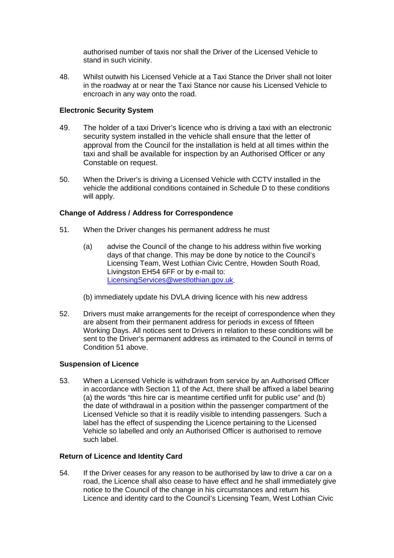authorised number of taxis nor shall the Driver of the Licensed Vehicle to stand in such vicinity.

48. Whilst outwith his Licensed Vehicle at a Taxi Stance the Driver shall not loiter in the roadway at or near the Taxi Stance nor cause his Licensed Vehicle to encroach in any way onto the road.

## **Electronic Security System**

- 49. The holder of a taxi Driver's licence who is driving a taxi with an electronic security system installed in the vehicle shall ensure that the letter of approval from the Council for the installation is held at all times within the taxi and shall be available for inspection by an Authorised Officer or any Constable on request.
- 50. When the Driver's is driving a Licensed Vehicle with CCTV installed in the vehicle the additional conditions contained in Schedule D to these conditions will apply.

#### **Change of Address / Address for Correspondence**

- 51. When the Driver changes his permanent address he must
	- (a) advise the Council of the change to his address within five working days of that change. This may be done by notice to the Council's Licensing Team, West Lothian Civic Centre, Howden South Road, Livingston EH54 6FF or by e-mail to: [LicensingServices@westlothian.gov.uk.](mailto:LicensingServices@westlothian.gov.uk)
	- (b) immediately update his DVLA driving licence with his new address
- 52. Drivers must make arrangements for the receipt of correspondence when they are absent from their permanent address for periods in excess of fifteen Working Days. All notices sent to Drivers in relation to these conditions will be sent to the Driver's permanent address as intimated to the Council in terms of Condition 51 above.

#### **Suspension of Licence**

53. When a Licensed Vehicle is withdrawn from service by an Authorised Officer in accordance with Section 11 of the Act, there shall be affixed a label bearing (a) the words "this hire car is meantime certified unfit for public use" and (b) the date of withdrawal in a position within the passenger compartment of the Licensed Vehicle so that it is readily visible to intending passengers. Such a label has the effect of suspending the Licence pertaining to the Licensed Vehicle so labelled and only an Authorised Officer is authorised to remove such label.

#### **Return of Licence and Identity Card**

54. If the Driver ceases for any reason to be authorised by law to drive a car on a road, the Licence shall also cease to have effect and he shall immediately give notice to the Council of the change in his circumstances and return his Licence and identity card to the Council's Licensing Team, West Lothian Civic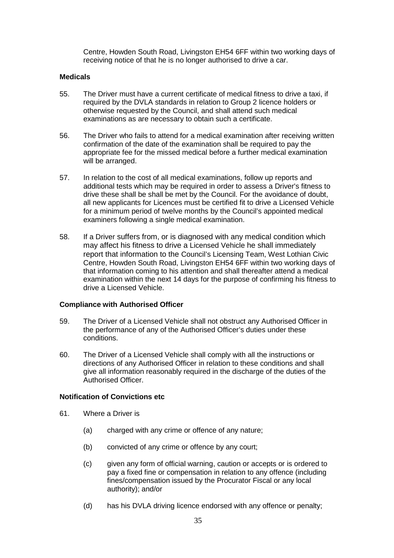Centre, Howden South Road, Livingston EH54 6FF within two working days of receiving notice of that he is no longer authorised to drive a car.

#### **Medicals**

- 55. The Driver must have a current certificate of medical fitness to drive a taxi, if required by the DVLA standards in relation to Group 2 licence holders or otherwise requested by the Council, and shall attend such medical examinations as are necessary to obtain such a certificate.
- 56. The Driver who fails to attend for a medical examination after receiving written confirmation of the date of the examination shall be required to pay the appropriate fee for the missed medical before a further medical examination will be arranged.
- 57. In relation to the cost of all medical examinations, follow up reports and additional tests which may be required in order to assess a Driver's fitness to drive these shall be shall be met by the Council. For the avoidance of doubt, all new applicants for Licences must be certified fit to drive a Licensed Vehicle for a minimum period of twelve months by the Council's appointed medical examiners following a single medical examination.
- 58. If a Driver suffers from, or is diagnosed with any medical condition which may affect his fitness to drive a Licensed Vehicle he shall immediately report that information to the Council's Licensing Team, West Lothian Civic Centre, Howden South Road, Livingston EH54 6FF within two working days of that information coming to his attention and shall thereafter attend a medical examination within the next 14 days for the purpose of confirming his fitness to drive a Licensed Vehicle.

## **Compliance with Authorised Officer**

- 59. The Driver of a Licensed Vehicle shall not obstruct any Authorised Officer in the performance of any of the Authorised Officer's duties under these conditions.
- 60. The Driver of a Licensed Vehicle shall comply with all the instructions or directions of any Authorised Officer in relation to these conditions and shall give all information reasonably required in the discharge of the duties of the Authorised Officer.

#### **Notification of Convictions etc**

- 61. Where a Driver is
	- (a) charged with any crime or offence of any nature;
	- (b) convicted of any crime or offence by any court;
	- (c) given any form of official warning, caution or accepts or is ordered to pay a fixed fine or compensation in relation to any offence (including fines/compensation issued by the Procurator Fiscal or any local authority); and/or
	- (d) has his DVLA driving licence endorsed with any offence or penalty;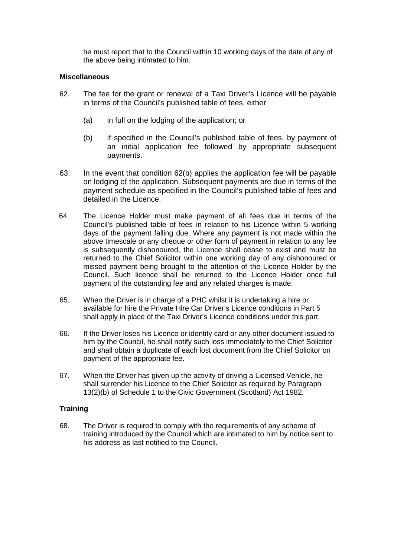he must report that to the Council within 10 working days of the date of any of the above being intimated to him.

## **Miscellaneous**

- 62. The fee for the grant or renewal of a Taxi Driver's Licence will be payable in terms of the Council's published table of fees, either
	- (a) in full on the lodging of the application; or
	- (b) if specified in the Council's published table of fees, by payment of an initial application fee followed by appropriate subsequent payments.
- 63. In the event that condition 62(b) applies the application fee will be payable on lodging of the application. Subsequent payments are due in terms of the payment schedule as specified in the Council's published table of fees and detailed in the Licence.
- 64. The Licence Holder must make payment of all fees due in terms of the Council's published table of fees in relation to his Licence within 5 working days of the payment falling due. Where any payment is not made within the above timescale or any cheque or other form of payment in relation to any fee is subsequently dishonoured, the Licence shall cease to exist and must be returned to the Chief Solicitor within one working day of any dishonoured or missed payment being brought to the attention of the Licence Holder by the Council. Such licence shall be returned to the Licence Holder once full payment of the outstanding fee and any related charges is made.
- 65. When the Driver is in charge of a PHC whilst it is undertaking a hire or available for hire the Private Hire Car Driver's Licence conditions in Part 5 shall apply in place of the Taxi Driver's Licence conditions under this part.
- 66. If the Driver loses his Licence or identity card or any other document issued to him by the Council, he shall notify such loss immediately to the Chief Solicitor and shall obtain a duplicate of each lost document from the Chief Solicitor on payment of the appropriate fee.
- 67. When the Driver has given up the activity of driving a Licensed Vehicle, he shall surrender his Licence to the Chief Solicitor as required by Paragraph 13(2)(b) of Schedule 1 to the Civic Government (Scotland) Act 1982.

## **Training**

68. The Driver is required to comply with the requirements of any scheme of training introduced by the Council which are intimated to him by notice sent to his address as last notified to the Council.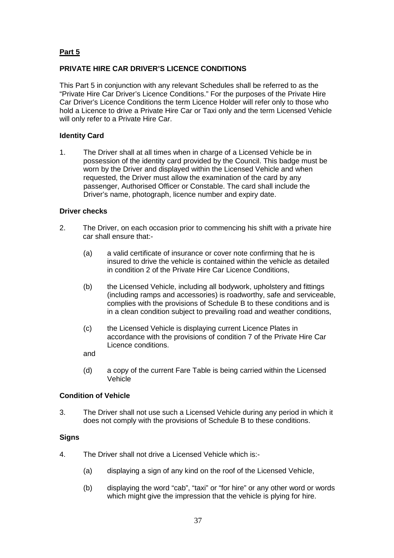# **Part 5**

# **PRIVATE HIRE CAR DRIVER'S LICENCE CONDITIONS**

This Part 5 in conjunction with any relevant Schedules shall be referred to as the "Private Hire Car Driver's Licence Conditions." For the purposes of the Private Hire Car Driver's Licence Conditions the term Licence Holder will refer only to those who hold a Licence to drive a Private Hire Car or Taxi only and the term Licensed Vehicle will only refer to a Private Hire Car.

## **Identity Card**

1. The Driver shall at all times when in charge of a Licensed Vehicle be in possession of the identity card provided by the Council. This badge must be worn by the Driver and displayed within the Licensed Vehicle and when requested, the Driver must allow the examination of the card by any passenger, Authorised Officer or Constable. The card shall include the Driver's name, photograph, licence number and expiry date.

#### **Driver checks**

- 2. The Driver, on each occasion prior to commencing his shift with a private hire car shall ensure that:-
	- (a) a valid certificate of insurance or cover note confirming that he is insured to drive the vehicle is contained within the vehicle as detailed in condition 2 of the Private Hire Car Licence Conditions,
	- (b) the Licensed Vehicle, including all bodywork, upholstery and fittings (including ramps and accessories) is roadworthy, safe and serviceable, complies with the provisions of Schedule B to these conditions and is in a clean condition subject to prevailing road and weather conditions,
	- (c) the Licensed Vehicle is displaying current Licence Plates in accordance with the provisions of condition 7 of the Private Hire Car Licence conditions.

and

(d) a copy of the current Fare Table is being carried within the Licensed Vehicle

#### **Condition of Vehicle**

3. The Driver shall not use such a Licensed Vehicle during any period in which it does not comply with the provisions of Schedule B to these conditions.

#### **Signs**

- 4. The Driver shall not drive a Licensed Vehicle which is:-
	- (a) displaying a sign of any kind on the roof of the Licensed Vehicle,
	- (b) displaying the word "cab", "taxi" or "for hire" or any other word or words which might give the impression that the vehicle is plying for hire.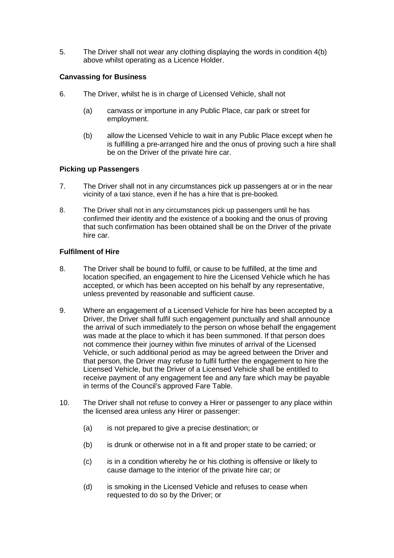5. The Driver shall not wear any clothing displaying the words in condition 4(b) above whilst operating as a Licence Holder.

## **Canvassing for Business**

- 6. The Driver, whilst he is in charge of Licensed Vehicle, shall not
	- (a) canvass or importune in any Public Place, car park or street for employment.
	- (b) allow the Licensed Vehicle to wait in any Public Place except when he is fulfilling a pre-arranged hire and the onus of proving such a hire shall be on the Driver of the private hire car.

## **Picking up Passengers**

- 7. The Driver shall not in any circumstances pick up passengers at or in the near vicinity of a taxi stance, even if he has a hire that is pre-booked.
- 8. The Driver shall not in any circumstances pick up passengers until he has confirmed their identity and the existence of a booking and the onus of proving that such confirmation has been obtained shall be on the Driver of the private hire car.

#### **Fulfilment of Hire**

- 8. The Driver shall be bound to fulfil, or cause to be fulfilled, at the time and location specified, an engagement to hire the Licensed Vehicle which he has accepted, or which has been accepted on his behalf by any representative, unless prevented by reasonable and sufficient cause.
- 9. Where an engagement of a Licensed Vehicle for hire has been accepted by a Driver, the Driver shall fulfil such engagement punctually and shall announce the arrival of such immediately to the person on whose behalf the engagement was made at the place to which it has been summoned. If that person does not commence their journey within five minutes of arrival of the Licensed Vehicle, or such additional period as may be agreed between the Driver and that person, the Driver may refuse to fulfil further the engagement to hire the Licensed Vehicle, but the Driver of a Licensed Vehicle shall be entitled to receive payment of any engagement fee and any fare which may be payable in terms of the Council's approved Fare Table.
- 10. The Driver shall not refuse to convey a Hirer or passenger to any place within the licensed area unless any Hirer or passenger:
	- (a) is not prepared to give a precise destination; or
	- (b) is drunk or otherwise not in a fit and proper state to be carried; or
	- (c) is in a condition whereby he or his clothing is offensive or likely to cause damage to the interior of the private hire car; or
	- (d) is smoking in the Licensed Vehicle and refuses to cease when requested to do so by the Driver; or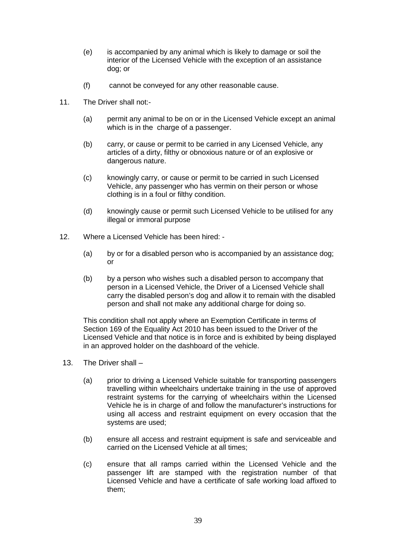- (e) is accompanied by any animal which is likely to damage or soil the interior of the Licensed Vehicle with the exception of an assistance dog; or
- (f) cannot be conveyed for any other reasonable cause.
- 11. The Driver shall not:-
	- (a) permit any animal to be on or in the Licensed Vehicle except an animal which is in the charge of a passenger.
	- (b) carry, or cause or permit to be carried in any Licensed Vehicle, any articles of a dirty, filthy or obnoxious nature or of an explosive or dangerous nature.
	- (c) knowingly carry, or cause or permit to be carried in such Licensed Vehicle, any passenger who has vermin on their person or whose clothing is in a foul or filthy condition.
	- (d) knowingly cause or permit such Licensed Vehicle to be utilised for any illegal or immoral purpose
- 12. Where a Licensed Vehicle has been hired:
	- (a) by or for a disabled person who is accompanied by an assistance dog; or
	- (b) by a person who wishes such a disabled person to accompany that person in a Licensed Vehicle, the Driver of a Licensed Vehicle shall carry the disabled person's dog and allow it to remain with the disabled person and shall not make any additional charge for doing so.

This condition shall not apply where an Exemption Certificate in terms of Section 169 of the Equality Act 2010 has been issued to the Driver of the Licensed Vehicle and that notice is in force and is exhibited by being displayed in an approved holder on the dashboard of the vehicle.

- 13. The Driver shall
	- (a) prior to driving a Licensed Vehicle suitable for transporting passengers travelling within wheelchairs undertake training in the use of approved restraint systems for the carrying of wheelchairs within the Licensed Vehicle he is in charge of and follow the manufacturer's instructions for using all access and restraint equipment on every occasion that the systems are used;
	- (b) ensure all access and restraint equipment is safe and serviceable and carried on the Licensed Vehicle at all times;
	- (c) ensure that all ramps carried within the Licensed Vehicle and the passenger lift are stamped with the registration number of that Licensed Vehicle and have a certificate of safe working load affixed to them;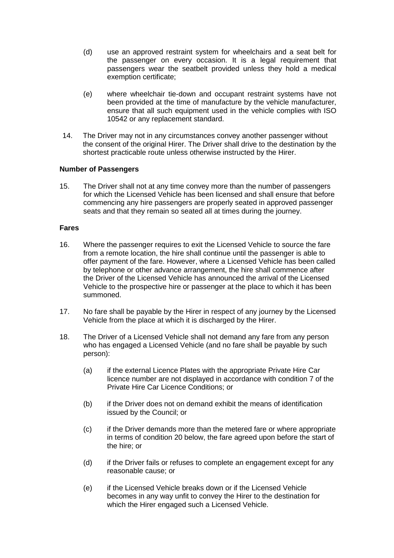- (d) use an approved restraint system for wheelchairs and a seat belt for the passenger on every occasion. It is a legal requirement that passengers wear the seatbelt provided unless they hold a medical exemption certificate;
- (e) where wheelchair tie-down and occupant restraint systems have not been provided at the time of manufacture by the vehicle manufacturer, ensure that all such equipment used in the vehicle complies with ISO 10542 or any replacement standard.
- 14. The Driver may not in any circumstances convey another passenger without the consent of the original Hirer. The Driver shall drive to the destination by the shortest practicable route unless otherwise instructed by the Hirer.

#### **Number of Passengers**

15. The Driver shall not at any time convey more than the number of passengers for which the Licensed Vehicle has been licensed and shall ensure that before commencing any hire passengers are properly seated in approved passenger seats and that they remain so seated all at times during the journey.

#### **Fares**

- 16. Where the passenger requires to exit the Licensed Vehicle to source the fare from a remote location, the hire shall continue until the passenger is able to offer payment of the fare. However, where a Licensed Vehicle has been called by telephone or other advance arrangement, the hire shall commence after the Driver of the Licensed Vehicle has announced the arrival of the Licensed Vehicle to the prospective hire or passenger at the place to which it has been summoned.
- 17. No fare shall be payable by the Hirer in respect of any journey by the Licensed Vehicle from the place at which it is discharged by the Hirer.
- 18. The Driver of a Licensed Vehicle shall not demand any fare from any person who has engaged a Licensed Vehicle (and no fare shall be payable by such person):
	- (a) if the external Licence Plates with the appropriate Private Hire Car licence number are not displayed in accordance with condition 7 of the Private Hire Car Licence Conditions; or
	- (b) if the Driver does not on demand exhibit the means of identification issued by the Council; or
	- (c) if the Driver demands more than the metered fare or where appropriate in terms of condition 20 below, the fare agreed upon before the start of the hire; or
	- (d) if the Driver fails or refuses to complete an engagement except for any reasonable cause; or
	- (e) if the Licensed Vehicle breaks down or if the Licensed Vehicle becomes in any way unfit to convey the Hirer to the destination for which the Hirer engaged such a Licensed Vehicle.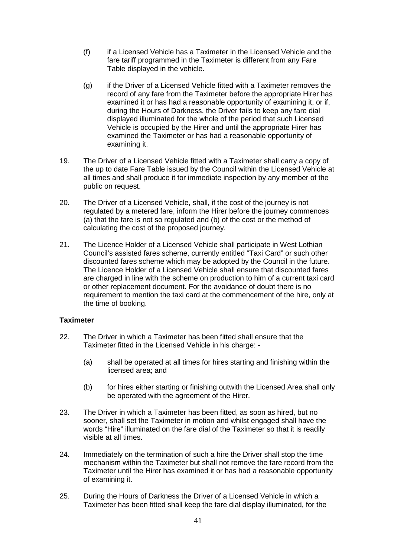- (f) if a Licensed Vehicle has a Taximeter in the Licensed Vehicle and the fare tariff programmed in the Taximeter is different from any Fare Table displayed in the vehicle.
- (g) if the Driver of a Licensed Vehicle fitted with a Taximeter removes the record of any fare from the Taximeter before the appropriate Hirer has examined it or has had a reasonable opportunity of examining it, or if, during the Hours of Darkness, the Driver fails to keep any fare dial displayed illuminated for the whole of the period that such Licensed Vehicle is occupied by the Hirer and until the appropriate Hirer has examined the Taximeter or has had a reasonable opportunity of examining it.
- 19. The Driver of a Licensed Vehicle fitted with a Taximeter shall carry a copy of the up to date Fare Table issued by the Council within the Licensed Vehicle at all times and shall produce it for immediate inspection by any member of the public on request.
- 20. The Driver of a Licensed Vehicle, shall, if the cost of the journey is not regulated by a metered fare, inform the Hirer before the journey commences (a) that the fare is not so regulated and (b) of the cost or the method of calculating the cost of the proposed journey.
- 21. The Licence Holder of a Licensed Vehicle shall participate in West Lothian Council's assisted fares scheme, currently entitled "Taxi Card" or such other discounted fares scheme which may be adopted by the Council in the future. The Licence Holder of a Licensed Vehicle shall ensure that discounted fares are charged in line with the scheme on production to him of a current taxi card or other replacement document. For the avoidance of doubt there is no requirement to mention the taxi card at the commencement of the hire, only at the time of booking.

## **Taximeter**

- 22. The Driver in which a Taximeter has been fitted shall ensure that the Taximeter fitted in the Licensed Vehicle in his charge: -
	- (a) shall be operated at all times for hires starting and finishing within the licensed area; and
	- (b) for hires either starting or finishing outwith the Licensed Area shall only be operated with the agreement of the Hirer.
- 23. The Driver in which a Taximeter has been fitted, as soon as hired, but no sooner, shall set the Taximeter in motion and whilst engaged shall have the words "Hire" illuminated on the fare dial of the Taximeter so that it is readily visible at all times.
- 24. Immediately on the termination of such a hire the Driver shall stop the time mechanism within the Taximeter but shall not remove the fare record from the Taximeter until the Hirer has examined it or has had a reasonable opportunity of examining it.
- 25. During the Hours of Darkness the Driver of a Licensed Vehicle in which a Taximeter has been fitted shall keep the fare dial display illuminated, for the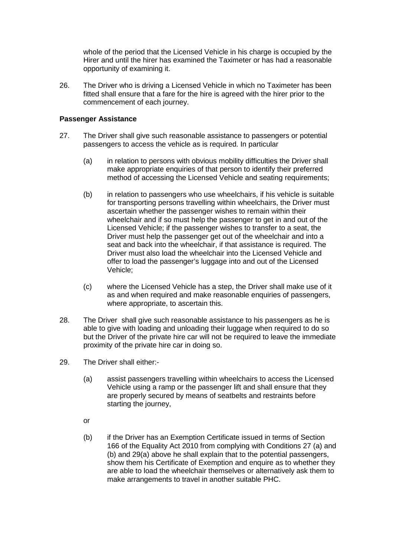whole of the period that the Licensed Vehicle in his charge is occupied by the Hirer and until the hirer has examined the Taximeter or has had a reasonable opportunity of examining it.

26. The Driver who is driving a Licensed Vehicle in which no Taximeter has been fitted shall ensure that a fare for the hire is agreed with the hirer prior to the commencement of each journey.

## **Passenger Assistance**

- 27. The Driver shall give such reasonable assistance to passengers or potential passengers to access the vehicle as is required. In particular
	- (a) in relation to persons with obvious mobility difficulties the Driver shall make appropriate enquiries of that person to identify their preferred method of accessing the Licensed Vehicle and seating requirements;
	- (b) in relation to passengers who use wheelchairs, if his vehicle is suitable for transporting persons travelling within wheelchairs, the Driver must ascertain whether the passenger wishes to remain within their wheelchair and if so must help the passenger to get in and out of the Licensed Vehicle; if the passenger wishes to transfer to a seat, the Driver must help the passenger get out of the wheelchair and into a seat and back into the wheelchair, if that assistance is required. The Driver must also load the wheelchair into the Licensed Vehicle and offer to load the passenger's luggage into and out of the Licensed Vehicle;
	- (c) where the Licensed Vehicle has a step, the Driver shall make use of it as and when required and make reasonable enquiries of passengers, where appropriate, to ascertain this.
- 28. The Driver shall give such reasonable assistance to his passengers as he is able to give with loading and unloading their luggage when required to do so but the Driver of the private hire car will not be required to leave the immediate proximity of the private hire car in doing so.
- 29. The Driver shall either:-
	- (a) assist passengers travelling within wheelchairs to access the Licensed Vehicle using a ramp or the passenger lift and shall ensure that they are properly secured by means of seatbelts and restraints before starting the journey,
	- or
	- (b) if the Driver has an Exemption Certificate issued in terms of Section 166 of the Equality Act 2010 from complying with Conditions 27 (a) and (b) and 29(a) above he shall explain that to the potential passengers, show them his Certificate of Exemption and enquire as to whether they are able to load the wheelchair themselves or alternatively ask them to make arrangements to travel in another suitable PHC.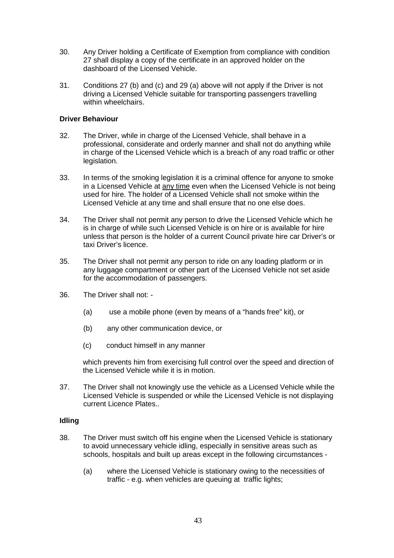- 30. Any Driver holding a Certificate of Exemption from compliance with condition 27 shall display a copy of the certificate in an approved holder on the dashboard of the Licensed Vehicle.
- 31. Conditions 27 (b) and (c) and 29 (a) above will not apply if the Driver is not driving a Licensed Vehicle suitable for transporting passengers travelling within wheelchairs.

## **Driver Behaviour**

- 32. The Driver, while in charge of the Licensed Vehicle, shall behave in a professional, considerate and orderly manner and shall not do anything while in charge of the Licensed Vehicle which is a breach of any road traffic or other legislation.
- 33. In terms of the smoking legislation it is a criminal offence for anyone to smoke in a Licensed Vehicle at any time even when the Licensed Vehicle is not being used for hire. The holder of a Licensed Vehicle shall not smoke within the Licensed Vehicle at any time and shall ensure that no one else does.
- 34. The Driver shall not permit any person to drive the Licensed Vehicle which he is in charge of while such Licensed Vehicle is on hire or is available for hire unless that person is the holder of a current Council private hire car Driver's or taxi Driver's licence.
- 35. The Driver shall not permit any person to ride on any loading platform or in any luggage compartment or other part of the Licensed Vehicle not set aside for the accommodation of passengers.
- 36. The Driver shall not:
	- (a) use a mobile phone (even by means of a "hands free" kit), or
	- (b) any other communication device, or
	- (c) conduct himself in any manner

which prevents him from exercising full control over the speed and direction of the Licensed Vehicle while it is in motion.

37. The Driver shall not knowingly use the vehicle as a Licensed Vehicle while the Licensed Vehicle is suspended or while the Licensed Vehicle is not displaying current Licence Plates..

#### **Idling**

- 38. The Driver must switch off his engine when the Licensed Vehicle is stationary to avoid unnecessary vehicle idling, especially in sensitive areas such as schools, hospitals and built up areas except in the following circumstances -
	- (a) where the Licensed Vehicle is stationary owing to the necessities of traffic - e.g. when vehicles are queuing at traffic lights;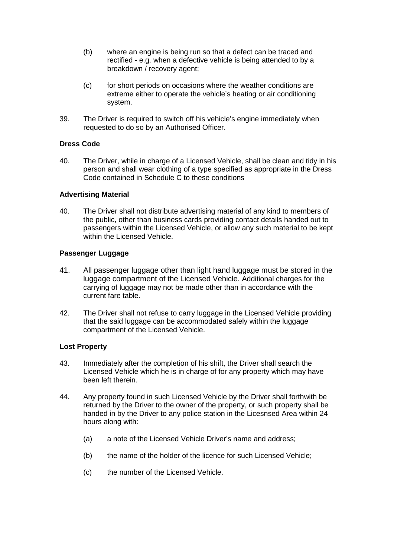- (b) where an engine is being run so that a defect can be traced and rectified - e.g. when a defective vehicle is being attended to by a breakdown / recovery agent;
- (c) for short periods on occasions where the weather conditions are extreme either to operate the vehicle's heating or air conditioning system.
- 39. The Driver is required to switch off his vehicle's engine immediately when requested to do so by an Authorised Officer.

## **Dress Code**

40. The Driver, while in charge of a Licensed Vehicle, shall be clean and tidy in his person and shall wear clothing of a type specified as appropriate in the Dress Code contained in Schedule C to these conditions

#### **Advertising Material**

40. The Driver shall not distribute advertising material of any kind to members of the public, other than business cards providing contact details handed out to passengers within the Licensed Vehicle, or allow any such material to be kept within the Licensed Vehicle.

#### **Passenger Luggage**

- 41. All passenger luggage other than light hand luggage must be stored in the luggage compartment of the Licensed Vehicle. Additional charges for the carrying of luggage may not be made other than in accordance with the current fare table.
- 42. The Driver shall not refuse to carry luggage in the Licensed Vehicle providing that the said luggage can be accommodated safely within the luggage compartment of the Licensed Vehicle.

#### **Lost Property**

- 43. Immediately after the completion of his shift, the Driver shall search the Licensed Vehicle which he is in charge of for any property which may have been left therein.
- 44. Any property found in such Licensed Vehicle by the Driver shall forthwith be returned by the Driver to the owner of the property, or such property shall be handed in by the Driver to any police station in the Licesnsed Area within 24 hours along with:
	- (a) a note of the Licensed Vehicle Driver's name and address;
	- (b) the name of the holder of the licence for such Licensed Vehicle;
	- (c) the number of the Licensed Vehicle.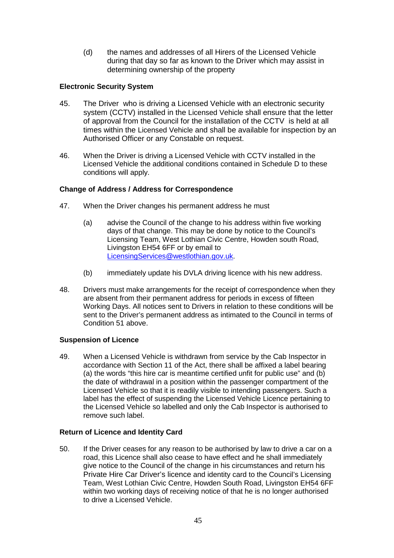(d) the names and addresses of all Hirers of the Licensed Vehicle during that day so far as known to the Driver which may assist in determining ownership of the property

# **Electronic Security System**

- 45. The Driver who is driving a Licensed Vehicle with an electronic security system (CCTV) installed in the Licensed Vehicle shall ensure that the letter of approval from the Council for the installation of the CCTV is held at all times within the Licensed Vehicle and shall be available for inspection by an Authorised Officer or any Constable on request.
- 46. When the Driver is driving a Licensed Vehicle with CCTV installed in the Licensed Vehicle the additional conditions contained in Schedule D to these conditions will apply.

# **Change of Address / Address for Correspondence**

- 47. When the Driver changes his permanent address he must
	- (a) advise the Council of the change to his address within five working days of that change. This may be done by notice to the Council's Licensing Team, West Lothian Civic Centre, Howden south Road, Livingston EH54 6FF or by email to [LicensingServices@westlothian.gov.uk.](mailto:LicensingServices@westlothian.gov.uk)
	- (b) immediately update his DVLA driving licence with his new address.
- 48. Drivers must make arrangements for the receipt of correspondence when they are absent from their permanent address for periods in excess of fifteen Working Days. All notices sent to Drivers in relation to these conditions will be sent to the Driver's permanent address as intimated to the Council in terms of Condition 51 above.

## **Suspension of Licence**

49. When a Licensed Vehicle is withdrawn from service by the Cab Inspector in accordance with Section 11 of the Act, there shall be affixed a label bearing (a) the words "this hire car is meantime certified unfit for public use" and  $(b)$ the date of withdrawal in a position within the passenger compartment of the Licensed Vehicle so that it is readily visible to intending passengers. Such a label has the effect of suspending the Licensed Vehicle Licence pertaining to the Licensed Vehicle so labelled and only the Cab Inspector is authorised to remove such label.

# **Return of Licence and Identity Card**

50. If the Driver ceases for any reason to be authorised by law to drive a car on a road, this Licence shall also cease to have effect and he shall immediately give notice to the Council of the change in his circumstances and return his Private Hire Car Driver's licence and identity card to the Council's Licensing Team, West Lothian Civic Centre, Howden South Road, Livingston EH54 6FF within two working days of receiving notice of that he is no longer authorised to drive a Licensed Vehicle.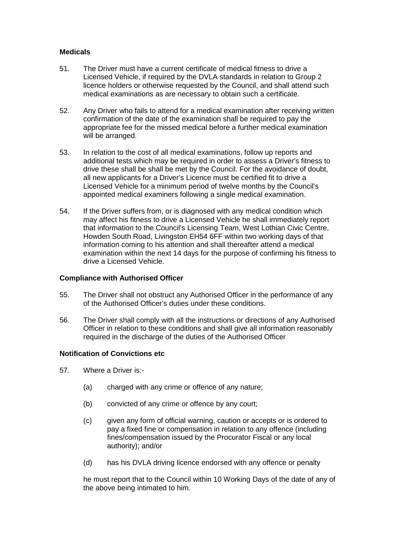## **Medicals**

- 51. The Driver must have a current certificate of medical fitness to drive a Licensed Vehicle, if required by the DVLA standards in relation to Group 2 licence holders or otherwise requested by the Council, and shall attend such medical examinations as are necessary to obtain such a certificate.
- 52. Any Driver who fails to attend for a medical examination after receiving written confirmation of the date of the examination shall be required to pay the appropriate fee for the missed medical before a further medical examination will be arranged.
- 53. In relation to the cost of all medical examinations, follow up reports and additional tests which may be required in order to assess a Driver's fitness to drive these shall be shall be met by the Council. For the avoidance of doubt, all new applicants for a Driver's Licence must be certified fit to drive a Licensed Vehicle for a minimum period of twelve months by the Council's appointed medical examiners following a single medical examination.
- 54. If the Driver suffers from, or is diagnosed with any medical condition which may affect his fitness to drive a Licensed Vehicle he shall immediately report that information to the Council's Licensing Team, West Lothian Civic Centre, Howden South Road, Livingston EH54 6FF within two working days of that information coming to his attention and shall thereafter attend a medical examination within the next 14 days for the purpose of confirming his fitness to drive a Licensed Vehicle.

## **Compliance with Authorised Officer**

- 55. The Driver shall not obstruct any Authorised Officer in the performance of any of the Authorised Officer's duties under these conditions.
- 56. The Driver shall comply with all the instructions or directions of any Authorised Officer in relation to these conditions and shall give all information reasonably required in the discharge of the duties of the Authorised Officer

#### **Notification of Convictions etc**

- 57. Where a Driver is:-
	- (a) charged with any crime or offence of any nature;
	- (b) convicted of any crime or offence by any court;
	- (c) given any form of official warning, caution or accepts or is ordered to pay a fixed fine or compensation in relation to any offence (including fines/compensation issued by the Procurator Fiscal or any local authority); and/or
	- (d) has his DVLA driving licence endorsed with any offence or penalty

he must report that to the Council within 10 Working Days of the date of any of the above being intimated to him.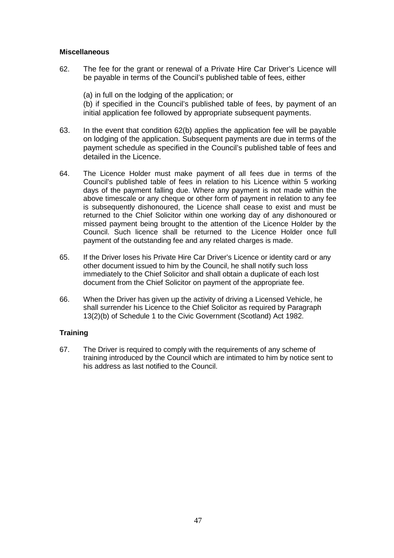## **Miscellaneous**

62. The fee for the grant or renewal of a Private Hire Car Driver's Licence will be payable in terms of the Council's published table of fees, either

(a) in full on the lodging of the application; or (b) if specified in the Council's published table of fees, by payment of an initial application fee followed by appropriate subsequent payments.

- 63. In the event that condition 62(b) applies the application fee will be payable on lodging of the application. Subsequent payments are due in terms of the payment schedule as specified in the Council's published table of fees and detailed in the Licence.
- 64. The Licence Holder must make payment of all fees due in terms of the Council's published table of fees in relation to his Licence within 5 working days of the payment falling due. Where any payment is not made within the above timescale or any cheque or other form of payment in relation to any fee is subsequently dishonoured, the Licence shall cease to exist and must be returned to the Chief Solicitor within one working day of any dishonoured or missed payment being brought to the attention of the Licence Holder by the Council. Such licence shall be returned to the Licence Holder once full payment of the outstanding fee and any related charges is made.
- 65. If the Driver loses his Private Hire Car Driver's Licence or identity card or any other document issued to him by the Council, he shall notify such loss immediately to the Chief Solicitor and shall obtain a duplicate of each lost document from the Chief Solicitor on payment of the appropriate fee.
- 66. When the Driver has given up the activity of driving a Licensed Vehicle, he shall surrender his Licence to the Chief Solicitor as required by Paragraph 13(2)(b) of Schedule 1 to the Civic Government (Scotland) Act 1982.

## **Training**

67. The Driver is required to comply with the requirements of any scheme of training introduced by the Council which are intimated to him by notice sent to his address as last notified to the Council.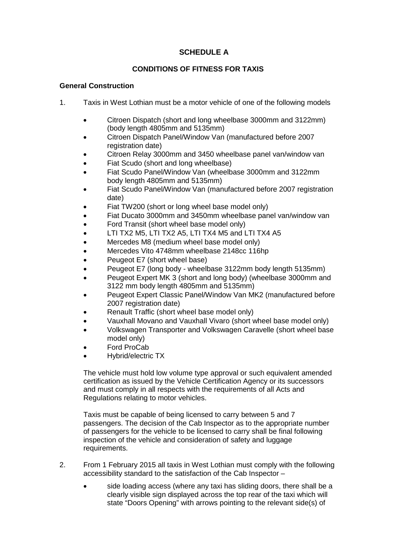# **SCHEDULE A**

# **CONDITIONS OF FITNESS FOR TAXIS**

## **General Construction**

- 1. Taxis in West Lothian must be a motor vehicle of one of the following models
	- Citroen Dispatch (short and long wheelbase 3000mm and 3122mm) (body length 4805mm and 5135mm)
	- Citroen Dispatch Panel/Window Van (manufactured before 2007 registration date)
	- Citroen Relay 3000mm and 3450 wheelbase panel van/window van
	- Fiat Scudo (short and long wheelbase)
	- Fiat Scudo Panel/Window Van (wheelbase 3000mm and 3122mm body length 4805mm and 5135mm)
	- Fiat Scudo Panel/Window Van (manufactured before 2007 registration date)
	- Fiat TW200 (short or long wheel base model only)
	- Fiat Ducato 3000mm and 3450mm wheelbase panel van/window van
	- Ford Transit (short wheel base model only)
	- LTI TX2 M5, LTI TX2 A5, LTI TX4 M5 and LTI TX4 A5
	- Mercedes M8 (medium wheel base model only)
	- Mercedes Vito 4748mm wheelbase 2148cc 116hp
	- Peugeot E7 (short wheel base)
	- Peugeot E7 (long body wheelbase 3122mm body length 5135mm)
	- Peugeot Expert MK 3 (short and long body) (wheelbase 3000mm and 3122 mm body length 4805mm and 5135mm)
	- Peugeot Expert Classic Panel/Window Van MK2 (manufactured before 2007 registration date)
	- Renault Traffic (short wheel base model only)
	- Vauxhall Movano and Vauxhall Vivaro (short wheel base model only)
	- Volkswagen Transporter and Volkswagen Caravelle (short wheel base model only)
	- Ford ProCab
	- Hybrid/electric TX

The vehicle must hold low volume type approval or such equivalent amended certification as issued by the Vehicle Certification Agency or its successors and must comply in all respects with the requirements of all Acts and Regulations relating to motor vehicles.

Taxis must be capable of being licensed to carry between 5 and 7 passengers. The decision of the Cab Inspector as to the appropriate number of passengers for the vehicle to be licensed to carry shall be final following inspection of the vehicle and consideration of safety and luggage requirements.

- 2. From 1 February 2015 all taxis in West Lothian must comply with the following accessibility standard to the satisfaction of the Cab Inspector –
	- side loading access (where any taxi has sliding doors, there shall be a clearly visible sign displayed across the top rear of the taxi which will state "Doors Opening" with arrows pointing to the relevant side(s) of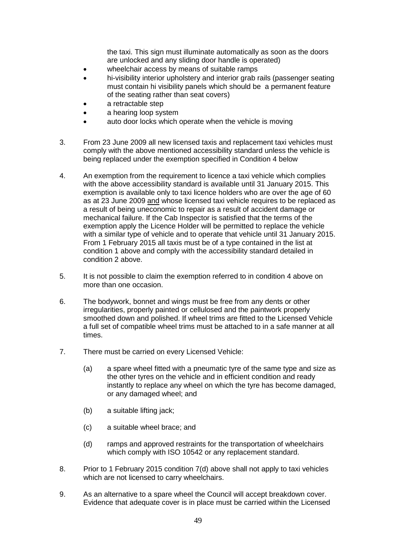the taxi. This sign must illuminate automatically as soon as the doors are unlocked and any sliding door handle is operated)

- wheelchair access by means of suitable ramps
- hi-visibility interior upholstery and interior grab rails (passenger seating must contain hi visibility panels which should be a permanent feature of the seating rather than seat covers)
- a retractable step
- a hearing loop system
- auto door locks which operate when the vehicle is moving
- 3. From 23 June 2009 all new licensed taxis and replacement taxi vehicles must comply with the above mentioned accessibility standard unless the vehicle is being replaced under the exemption specified in Condition 4 below
- 4. An exemption from the requirement to licence a taxi vehicle which complies with the above accessibility standard is available until 31 January 2015. This exemption is available only to taxi licence holders who are over the age of 60 as at 23 June 2009 and whose licensed taxi vehicle requires to be replaced as a result of being uneconomic to repair as a result of accident damage or mechanical failure. If the Cab Inspector is satisfied that the terms of the exemption apply the Licence Holder will be permitted to replace the vehicle with a similar type of vehicle and to operate that vehicle until 31 January 2015. From 1 February 2015 all taxis must be of a type contained in the list at condition 1 above and comply with the accessibility standard detailed in condition 2 above.
- 5. It is not possible to claim the exemption referred to in condition 4 above on more than one occasion.
- 6. The bodywork, bonnet and wings must be free from any dents or other irregularities, properly painted or cellulosed and the paintwork properly smoothed down and polished. If wheel trims are fitted to the Licensed Vehicle a full set of compatible wheel trims must be attached to in a safe manner at all times.
- 7. There must be carried on every Licensed Vehicle:
	- (a) a spare wheel fitted with a pneumatic tyre of the same type and size as the other tyres on the vehicle and in efficient condition and ready instantly to replace any wheel on which the tyre has become damaged, or any damaged wheel; and
	- (b) a suitable lifting jack;
	- (c) a suitable wheel brace; and
	- (d) ramps and approved restraints for the transportation of wheelchairs which comply with ISO 10542 or any replacement standard.
- 8. Prior to 1 February 2015 condition 7(d) above shall not apply to taxi vehicles which are not licensed to carry wheelchairs.
- 9. As an alternative to a spare wheel the Council will accept breakdown cover. Evidence that adequate cover is in place must be carried within the Licensed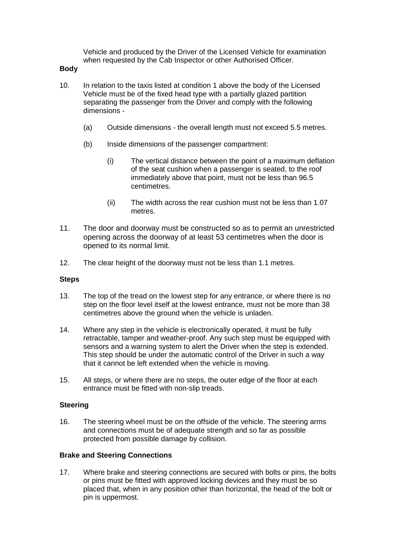Vehicle and produced by the Driver of the Licensed Vehicle for examination when requested by the Cab Inspector or other Authorised Officer.

## **Body**

- 10. In relation to the taxis listed at condition 1 above the body of the Licensed Vehicle must be of the fixed head type with a partially glazed partition separating the passenger from the Driver and comply with the following dimensions -
	- (a) Outside dimensions the overall length must not exceed 5.5 metres.
	- (b) Inside dimensions of the passenger compartment:
		- (i) The vertical distance between the point of a maximum deflation of the seat cushion when a passenger is seated, to the roof immediately above that point, must not be less than 96.5 centimetres.
		- (ii) The width across the rear cushion must not be less than 1.07 metres.
- 11. The door and doorway must be constructed so as to permit an unrestricted opening across the doorway of at least 53 centimetres when the door is opened to its normal limit.
- 12. The clear height of the doorway must not be less than 1.1 metres.

## **Steps**

- 13. The top of the tread on the lowest step for any entrance, or where there is no step on the floor level itself at the lowest entrance, must not be more than 38 centimetres above the ground when the vehicle is unladen.
- 14. Where any step in the vehicle is electronically operated, it must be fully retractable, tamper and weather-proof. Any such step must be equipped with sensors and a warning system to alert the Driver when the step is extended. This step should be under the automatic control of the Driver in such a way that it cannot be left extended when the vehicle is moving.
- 15. All steps, or where there are no steps, the outer edge of the floor at each entrance must be fitted with non-slip treads.

#### **Steering**

16. The steering wheel must be on the offside of the vehicle. The steering arms and connections must be of adequate strength and so far as possible protected from possible damage by collision.

## **Brake and Steering Connections**

17. Where brake and steering connections are secured with bolts or pins, the bolts or pins must be fitted with approved locking devices and they must be so placed that, when in any position other than horizontal, the head of the bolt or pin is uppermost.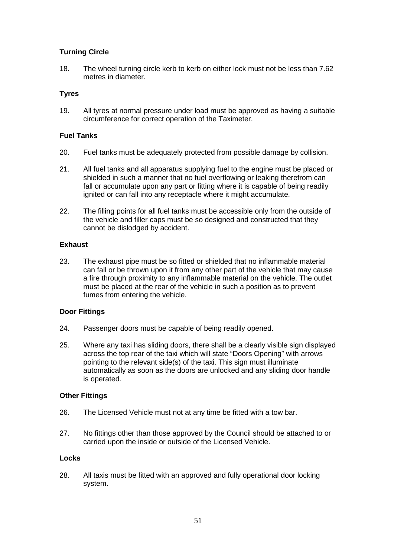# **Turning Circle**

18. The wheel turning circle kerb to kerb on either lock must not be less than 7.62 metres in diameter.

## **Tyres**

19. All tyres at normal pressure under load must be approved as having a suitable circumference for correct operation of the Taximeter.

## **Fuel Tanks**

- 20. Fuel tanks must be adequately protected from possible damage by collision.
- 21. All fuel tanks and all apparatus supplying fuel to the engine must be placed or shielded in such a manner that no fuel overflowing or leaking therefrom can fall or accumulate upon any part or fitting where it is capable of being readily ignited or can fall into any receptacle where it might accumulate.
- 22. The filling points for all fuel tanks must be accessible only from the outside of the vehicle and filler caps must be so designed and constructed that they cannot be dislodged by accident.

## **Exhaust**

23. The exhaust pipe must be so fitted or shielded that no inflammable material can fall or be thrown upon it from any other part of the vehicle that may cause a fire through proximity to any inflammable material on the vehicle. The outlet must be placed at the rear of the vehicle in such a position as to prevent fumes from entering the vehicle.

# **Door Fittings**

- 24. Passenger doors must be capable of being readily opened.
- 25. Where any taxi has sliding doors, there shall be a clearly visible sign displayed across the top rear of the taxi which will state "Doors Opening" with arrows pointing to the relevant side(s) of the taxi. This sign must illuminate automatically as soon as the doors are unlocked and any sliding door handle is operated.

## **Other Fittings**

- 26. The Licensed Vehicle must not at any time be fitted with a tow bar.
- 27. No fittings other than those approved by the Council should be attached to or carried upon the inside or outside of the Licensed Vehicle.

## **Locks**

28. All taxis must be fitted with an approved and fully operational door locking system.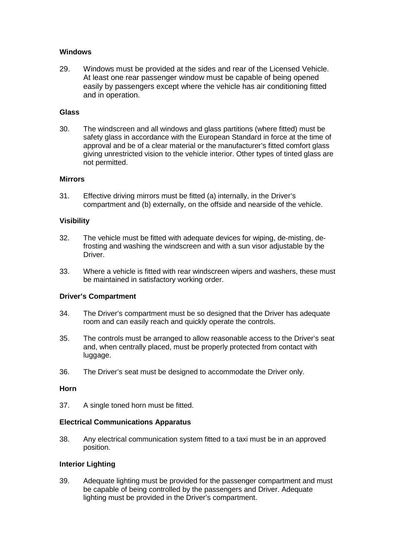## **Windows**

29. Windows must be provided at the sides and rear of the Licensed Vehicle. At least one rear passenger window must be capable of being opened easily by passengers except where the vehicle has air conditioning fitted and in operation.

## **Glass**

30. The windscreen and all windows and glass partitions (where fitted) must be safety glass in accordance with the European Standard in force at the time of approval and be of a clear material or the manufacturer's fitted comfort glass giving unrestricted vision to the vehicle interior. Other types of tinted glass are not permitted.

## **Mirrors**

31. Effective driving mirrors must be fitted (a) internally, in the Driver's compartment and (b) externally, on the offside and nearside of the vehicle.

## **Visibility**

- 32. The vehicle must be fitted with adequate devices for wiping, de-misting, defrosting and washing the windscreen and with a sun visor adjustable by the Driver.
- 33. Where a vehicle is fitted with rear windscreen wipers and washers, these must be maintained in satisfactory working order.

## **Driver's Compartment**

- 34. The Driver's compartment must be so designed that the Driver has adequate room and can easily reach and quickly operate the controls.
- 35. The controls must be arranged to allow reasonable access to the Driver's seat and, when centrally placed, must be properly protected from contact with luggage.
- 36. The Driver's seat must be designed to accommodate the Driver only.

# **Horn**

37. A single toned horn must be fitted.

## **Electrical Communications Apparatus**

38. Any electrical communication system fitted to a taxi must be in an approved position.

## **Interior Lighting**

39. Adequate lighting must be provided for the passenger compartment and must be capable of being controlled by the passengers and Driver. Adequate lighting must be provided in the Driver's compartment.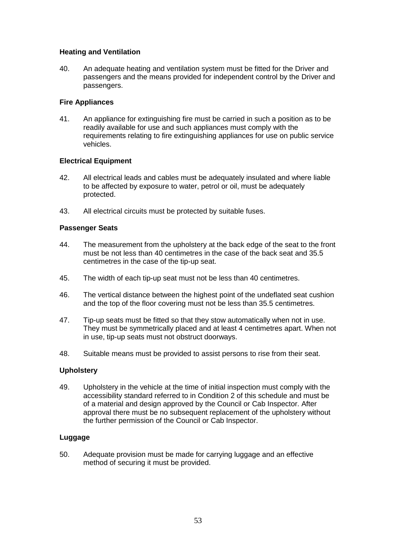## **Heating and Ventilation**

40. An adequate heating and ventilation system must be fitted for the Driver and passengers and the means provided for independent control by the Driver and passengers.

## **Fire Appliances**

41. An appliance for extinguishing fire must be carried in such a position as to be readily available for use and such appliances must comply with the requirements relating to fire extinguishing appliances for use on public service vehicles.

# **Electrical Equipment**

- 42. All electrical leads and cables must be adequately insulated and where liable to be affected by exposure to water, petrol or oil, must be adequately protected.
- 43. All electrical circuits must be protected by suitable fuses.

## **Passenger Seats**

- 44. The measurement from the upholstery at the back edge of the seat to the front must be not less than 40 centimetres in the case of the back seat and 35.5 centimetres in the case of the tip-up seat.
- 45. The width of each tip-up seat must not be less than 40 centimetres.
- 46. The vertical distance between the highest point of the undeflated seat cushion and the top of the floor covering must not be less than 35.5 centimetres.
- 47. Tip-up seats must be fitted so that they stow automatically when not in use. They must be symmetrically placed and at least 4 centimetres apart. When not in use, tip-up seats must not obstruct doorways.
- 48. Suitable means must be provided to assist persons to rise from their seat.

## **Upholstery**

49. Upholstery in the vehicle at the time of initial inspection must comply with the accessibility standard referred to in Condition 2 of this schedule and must be of a material and design approved by the Council or Cab Inspector. After approval there must be no subsequent replacement of the upholstery without the further permission of the Council or Cab Inspector.

## **Luggage**

50. Adequate provision must be made for carrying luggage and an effective method of securing it must be provided.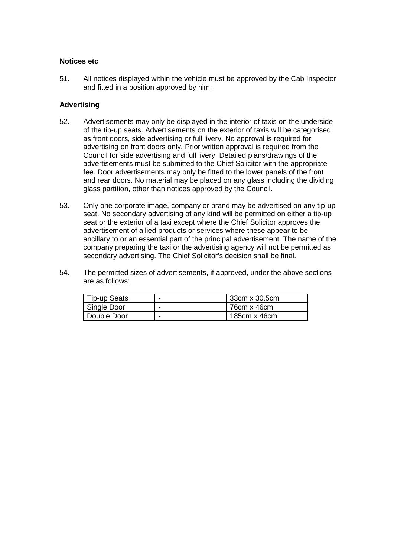#### **Notices etc**

51. All notices displayed within the vehicle must be approved by the Cab Inspector and fitted in a position approved by him.

## **Advertising**

- 52. Advertisements may only be displayed in the interior of taxis on the underside of the tip-up seats. Advertisements on the exterior of taxis will be categorised as front doors, side advertising or full livery. No approval is required for advertising on front doors only. Prior written approval is required from the Council for side advertising and full livery. Detailed plans/drawings of the advertisements must be submitted to the Chief Solicitor with the appropriate fee. Door advertisements may only be fitted to the lower panels of the front and rear doors. No material may be placed on any glass including the dividing glass partition, other than notices approved by the Council.
- 53. Only one corporate image, company or brand may be advertised on any tip-up seat. No secondary advertising of any kind will be permitted on either a tip-up seat or the exterior of a taxi except where the Chief Solicitor approves the advertisement of allied products or services where these appear to be ancillary to or an essential part of the principal advertisement. The name of the company preparing the taxi or the advertising agency will not be permitted as secondary advertising. The Chief Solicitor's decision shall be final.
- 54. The permitted sizes of advertisements, if approved, under the above sections are as follows:

| Tip-up Seats | - | 33cm x 30.5cm       |
|--------------|---|---------------------|
| Single Door  | - | $176cm \times 46cm$ |
| Double Door  | - | 185cm x 46cm        |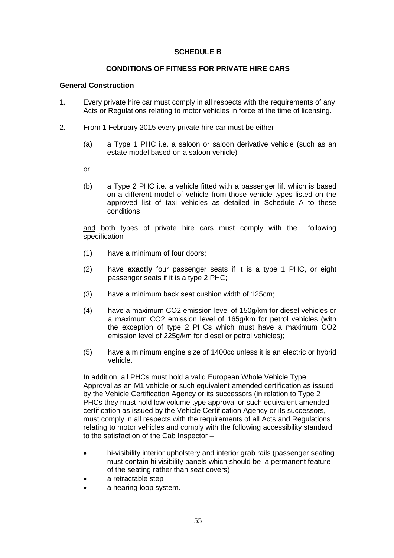# **SCHEDULE B**

## **CONDITIONS OF FITNESS FOR PRIVATE HIRE CARS**

## **General Construction**

- 1. Every private hire car must comply in all respects with the requirements of any Acts or Regulations relating to motor vehicles in force at the time of licensing.
- 2. From 1 February 2015 every private hire car must be either
	- (a) a Type 1 PHC i.e. a saloon or saloon derivative vehicle (such as an estate model based on a saloon vehicle)
	- or
	- (b) a Type 2 PHC i.e. a vehicle fitted with a passenger lift which is based on a different model of vehicle from those vehicle types listed on the approved list of taxi vehicles as detailed in Schedule A to these conditions

and both types of private hire cars must comply with the following specification -

- (1) have a minimum of four doors;
- (2) have **exactly** four passenger seats if it is a type 1 PHC, or eight passenger seats if it is a type 2 PHC;
- (3) have a minimum back seat cushion width of 125cm;
- (4) have a maximum CO2 emission level of 150g/km for diesel vehicles or a maximum CO2 emission level of 165g/km for petrol vehicles (with the exception of type 2 PHCs which must have a maximum CO2 emission level of 225g/km for diesel or petrol vehicles);
- (5) have a minimum engine size of 1400cc unless it is an electric or hybrid vehicle.

In addition, all PHCs must hold a valid European Whole Vehicle Type Approval as an M1 vehicle or such equivalent amended certification as issued by the Vehicle Certification Agency or its successors (in relation to Type 2 PHCs they must hold low volume type approval or such equivalent amended certification as issued by the Vehicle Certification Agency or its successors, must comply in all respects with the requirements of all Acts and Regulations relating to motor vehicles and comply with the following accessibility standard to the satisfaction of the Cab Inspector –

- hi-visibility interior upholstery and interior grab rails (passenger seating must contain hi visibility panels which should be a permanent feature of the seating rather than seat covers)
- a retractable step
- a hearing loop system.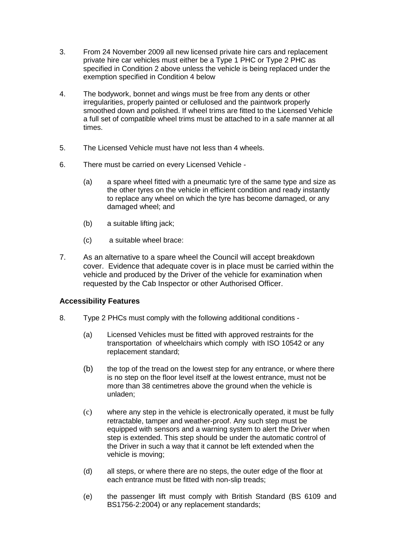- 3. From 24 November 2009 all new licensed private hire cars and replacement private hire car vehicles must either be a Type 1 PHC or Type 2 PHC as specified in Condition 2 above unless the vehicle is being replaced under the exemption specified in Condition 4 below
- 4. The bodywork, bonnet and wings must be free from any dents or other irregularities, properly painted or cellulosed and the paintwork properly smoothed down and polished. If wheel trims are fitted to the Licensed Vehicle a full set of compatible wheel trims must be attached to in a safe manner at all times.
- 5. The Licensed Vehicle must have not less than 4 wheels.
- 6. There must be carried on every Licensed Vehicle
	- (a) a spare wheel fitted with a pneumatic tyre of the same type and size as the other tyres on the vehicle in efficient condition and ready instantly to replace any wheel on which the tyre has become damaged, or any damaged wheel; and
	- (b) a suitable lifting jack;
	- (c) a suitable wheel brace:
- 7. As an alternative to a spare wheel the Council will accept breakdown cover. Evidence that adequate cover is in place must be carried within the vehicle and produced by the Driver of the vehicle for examination when requested by the Cab Inspector or other Authorised Officer.

# **Accessibility Features**

- 8. Type 2 PHCs must comply with the following additional conditions
	- (a) Licensed Vehicles must be fitted with approved restraints for the transportation of wheelchairs which comply with ISO 10542 or any replacement standard;
	- (b) the top of the tread on the lowest step for any entrance, or where there is no step on the floor level itself at the lowest entrance, must not be more than 38 centimetres above the ground when the vehicle is unladen;
	- (c) where any step in the vehicle is electronically operated, it must be fully retractable, tamper and weather-proof. Any such step must be equipped with sensors and a warning system to alert the Driver when step is extended. This step should be under the automatic control of the Driver in such a way that it cannot be left extended when the vehicle is moving;
	- (d) all steps, or where there are no steps, the outer edge of the floor at each entrance must be fitted with non-slip treads;
	- (e) the passenger lift must comply with British Standard (BS 6109 and BS1756-2:2004) or any replacement standards;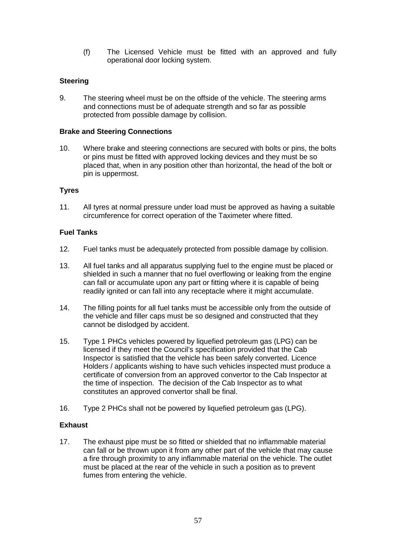(f) The Licensed Vehicle must be fitted with an approved and fully operational door locking system.

# **Steering**

9. The steering wheel must be on the offside of the vehicle. The steering arms and connections must be of adequate strength and so far as possible protected from possible damage by collision.

#### **Brake and Steering Connections**

10. Where brake and steering connections are secured with bolts or pins, the bolts or pins must be fitted with approved locking devices and they must be so placed that, when in any position other than horizontal, the head of the bolt or pin is uppermost.

## **Tyres**

11. All tyres at normal pressure under load must be approved as having a suitable circumference for correct operation of the Taximeter where fitted.

#### **Fuel Tanks**

- 12. Fuel tanks must be adequately protected from possible damage by collision.
- 13. All fuel tanks and all apparatus supplying fuel to the engine must be placed or shielded in such a manner that no fuel overflowing or leaking from the engine can fall or accumulate upon any part or fitting where it is capable of being readily ignited or can fall into any receptacle where it might accumulate.
- 14. The filling points for all fuel tanks must be accessible only from the outside of the vehicle and filler caps must be so designed and constructed that they cannot be dislodged by accident.
- 15. Type 1 PHCs vehicles powered by liquefied petroleum gas (LPG) can be licensed if they meet the Council's specification provided that the Cab Inspector is satisfied that the vehicle has been safely converted. Licence Holders / applicants wishing to have such vehicles inspected must produce a certificate of conversion from an approved convertor to the Cab Inspector at the time of inspection. The decision of the Cab Inspector as to what constitutes an approved convertor shall be final.
- 16. Type 2 PHCs shall not be powered by liquefied petroleum gas (LPG).

## **Exhaust**

17. The exhaust pipe must be so fitted or shielded that no inflammable material can fall or be thrown upon it from any other part of the vehicle that may cause a fire through proximity to any inflammable material on the vehicle. The outlet must be placed at the rear of the vehicle in such a position as to prevent fumes from entering the vehicle.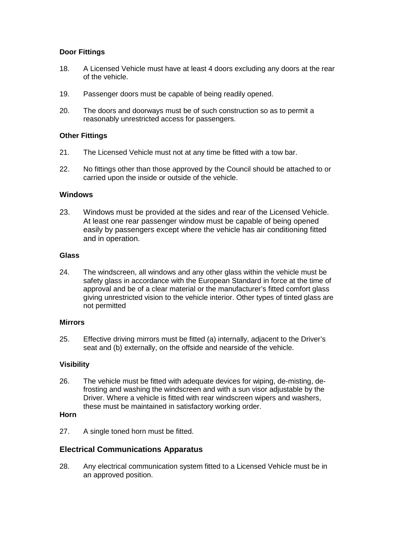# **Door Fittings**

- 18. A Licensed Vehicle must have at least 4 doors excluding any doors at the rear of the vehicle.
- 19. Passenger doors must be capable of being readily opened.
- 20. The doors and doorways must be of such construction so as to permit a reasonably unrestricted access for passengers.

#### **Other Fittings**

- 21. The Licensed Vehicle must not at any time be fitted with a tow bar.
- 22. No fittings other than those approved by the Council should be attached to or carried upon the inside or outside of the vehicle.

#### **Windows**

23. Windows must be provided at the sides and rear of the Licensed Vehicle. At least one rear passenger window must be capable of being opened easily by passengers except where the vehicle has air conditioning fitted and in operation.

#### **Glass**

24. The windscreen, all windows and any other glass within the vehicle must be safety glass in accordance with the European Standard in force at the time of approval and be of a clear material or the manufacturer's fitted comfort glass giving unrestricted vision to the vehicle interior. Other types of tinted glass are not permitted

#### **Mirrors**

25. Effective driving mirrors must be fitted (a) internally, adjacent to the Driver's seat and (b) externally, on the offside and nearside of the vehicle.

## **Visibility**

26. The vehicle must be fitted with adequate devices for wiping, de-misting, defrosting and washing the windscreen and with a sun visor adjustable by the Driver. Where a vehicle is fitted with rear windscreen wipers and washers, these must be maintained in satisfactory working order.

#### **Horn**

27. A single toned horn must be fitted.

## **Electrical Communications Apparatus**

28. Any electrical communication system fitted to a Licensed Vehicle must be in an approved position.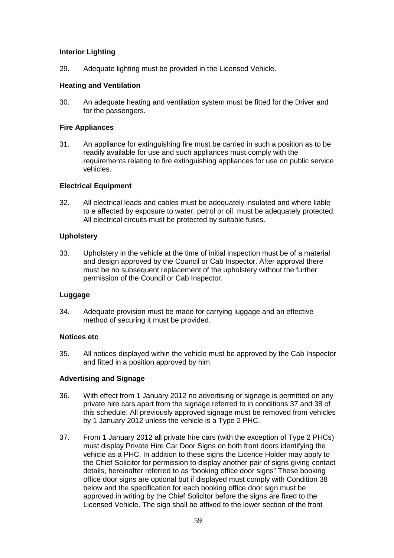# **Interior Lighting**

29. Adequate lighting must be provided in the Licensed Vehicle.

## **Heating and Ventilation**

30. An adequate heating and ventilation system must be fitted for the Driver and for the passengers.

## **Fire Appliances**

31. An appliance for extinguishing fire must be carried in such a position as to be readily available for use and such appliances must comply with the requirements relating to fire extinguishing appliances for use on public service vehicles.

#### **Electrical Equipment**

32. All electrical leads and cables must be adequately insulated and where liable to e affected by exposure to water, petrol or oil, must be adequately protected. All electrical circuits must be protected by suitable fuses.

#### **Upholstery**

33. Upholstery in the vehicle at the time of initial inspection must be of a material and design approved by the Council or Cab Inspector. After approval there must be no subsequent replacement of the upholstery without the further permission of the Council or Cab Inspector.

## **Luggage**

34. Adequate provision must be made for carrying luggage and an effective method of securing it must be provided.

#### **Notices etc**

35. All notices displayed within the vehicle must be approved by the Cab Inspector and fitted in a position approved by him.

## **Advertising and Signage**

- 36. With effect from 1 January 2012 no advertising or signage is permitted on any private hire cars apart from the signage referred to in conditions 37 and 38 of this schedule. All previously approved signage must be removed from vehicles by 1 January 2012 unless the vehicle is a Type 2 PHC.
- 37. From 1 January 2012 all private hire cars (with the exception of Type 2 PHCs) must display Private Hire Car Door Signs on both front doors identifying the vehicle as a PHC. In addition to these signs the Licence Holder may apply to the Chief Solicitor for permission to display another pair of signs giving contact details, hereinafter referred to as "booking office door signs" These booking office door signs are optional but if displayed must comply with Condition 38 below and the specification for each booking office door sign must be approved in writing by the Chief Solicitor before the signs are fixed to the Licensed Vehicle. The sign shall be affixed to the lower section of the front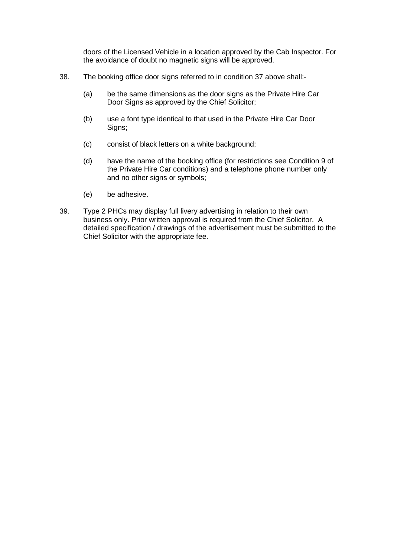doors of the Licensed Vehicle in a location approved by the Cab Inspector. For the avoidance of doubt no magnetic signs will be approved.

- 38. The booking office door signs referred to in condition 37 above shall:-
	- (a) be the same dimensions as the door signs as the Private Hire Car Door Signs as approved by the Chief Solicitor;
	- (b) use a font type identical to that used in the Private Hire Car Door Signs;
	- (c) consist of black letters on a white background;
	- (d) have the name of the booking office (for restrictions see Condition 9 of the Private Hire Car conditions) and a telephone phone number only and no other signs or symbols;
	- (e) be adhesive.
- 39. Type 2 PHCs may display full livery advertising in relation to their own business only. Prior written approval is required from the Chief Solicitor. A detailed specification / drawings of the advertisement must be submitted to the Chief Solicitor with the appropriate fee.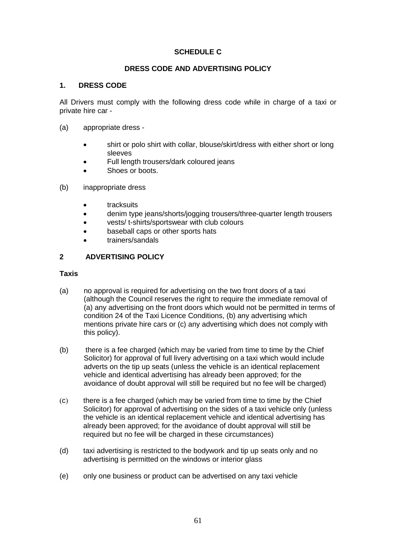# **SCHEDULE C**

## **DRESS CODE AND ADVERTISING POLICY**

## **1. DRESS CODE**

All Drivers must comply with the following dress code while in charge of a taxi or private hire car -

- (a) appropriate dress
	- shirt or polo shirt with collar, blouse/skirt/dress with either short or long sleeves
	- Full length trousers/dark coloured jeans
	- Shoes or boots.
- (b) inappropriate dress
	- tracksuits
	- denim type jeans/shorts/jogging trousers/three-quarter length trousers
	- vests/ t-shirts/sportswear with club colours
	- baseball caps or other sports hats
	- trainers/sandals

## **2 ADVERTISING POLICY**

#### **Taxis**

- (a) no approval is required for advertising on the two front doors of a taxi (although the Council reserves the right to require the immediate removal of (a) any advertising on the front doors which would not be permitted in terms of condition 24 of the Taxi Licence Conditions, (b) any advertising which mentions private hire cars or (c) any advertising which does not comply with this policy).
- (b) there is a fee charged (which may be varied from time to time by the Chief Solicitor) for approval of full livery advertising on a taxi which would include adverts on the tip up seats (unless the vehicle is an identical replacement vehicle and identical advertising has already been approved; for the avoidance of doubt approval will still be required but no fee will be charged)
- (c) there is a fee charged (which may be varied from time to time by the Chief Solicitor) for approval of advertising on the sides of a taxi vehicle only (unless the vehicle is an identical replacement vehicle and identical advertising has already been approved; for the avoidance of doubt approval will still be required but no fee will be charged in these circumstances)
- (d) taxi advertising is restricted to the bodywork and tip up seats only and no advertising is permitted on the windows or interior glass
- (e) only one business or product can be advertised on any taxi vehicle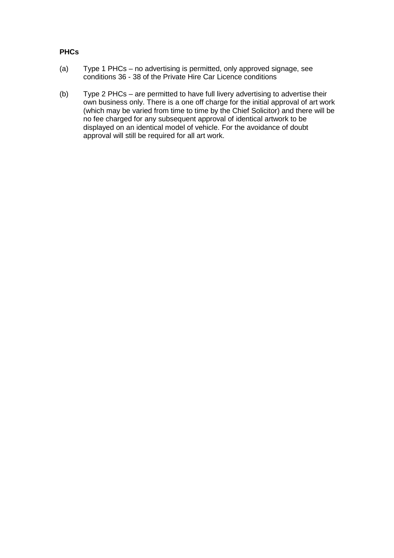# **PHCs**

- (a) Type 1 PHCs no advertising is permitted, only approved signage, see conditions 36 - 38 of the Private Hire Car Licence conditions
- (b) Type 2 PHCs are permitted to have full livery advertising to advertise their own business only. There is a one off charge for the initial approval of art work (which may be varied from time to time by the Chief Solicitor) and there will be no fee charged for any subsequent approval of identical artwork to be displayed on an identical model of vehicle. For the avoidance of doubt approval will still be required for all art work.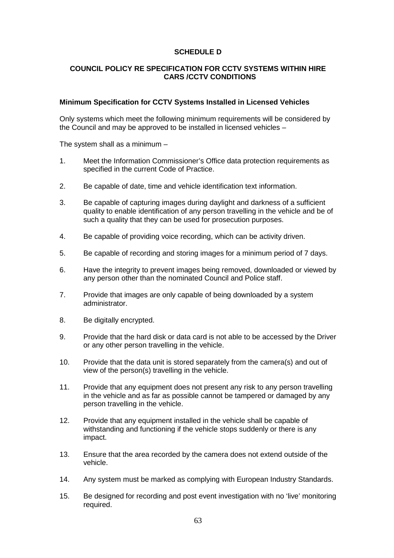# **SCHEDULE D**

## **COUNCIL POLICY RE SPECIFICATION FOR CCTV SYSTEMS WITHIN HIRE CARS /CCTV CONDITIONS**

#### **Minimum Specification for CCTV Systems Installed in Licensed Vehicles**

Only systems which meet the following minimum requirements will be considered by the Council and may be approved to be installed in licensed vehicles –

The system shall as a minimum –

- 1. Meet the Information Commissioner's Office data protection requirements as specified in the current Code of Practice.
- 2. Be capable of date, time and vehicle identification text information.
- 3. Be capable of capturing images during daylight and darkness of a sufficient quality to enable identification of any person travelling in the vehicle and be of such a quality that they can be used for prosecution purposes.
- 4. Be capable of providing voice recording, which can be activity driven.
- 5. Be capable of recording and storing images for a minimum period of 7 days.
- 6. Have the integrity to prevent images being removed, downloaded or viewed by any person other than the nominated Council and Police staff.
- 7. Provide that images are only capable of being downloaded by a system administrator.
- 8. Be digitally encrypted.
- 9. Provide that the hard disk or data card is not able to be accessed by the Driver or any other person travelling in the vehicle.
- 10. Provide that the data unit is stored separately from the camera(s) and out of view of the person(s) travelling in the vehicle.
- 11. Provide that any equipment does not present any risk to any person travelling in the vehicle and as far as possible cannot be tampered or damaged by any person travelling in the vehicle.
- 12. Provide that any equipment installed in the vehicle shall be capable of withstanding and functioning if the vehicle stops suddenly or there is any impact.
- 13. Ensure that the area recorded by the camera does not extend outside of the vehicle.
- 14. Any system must be marked as complying with European Industry Standards.
- 15. Be designed for recording and post event investigation with no 'live' monitoring required.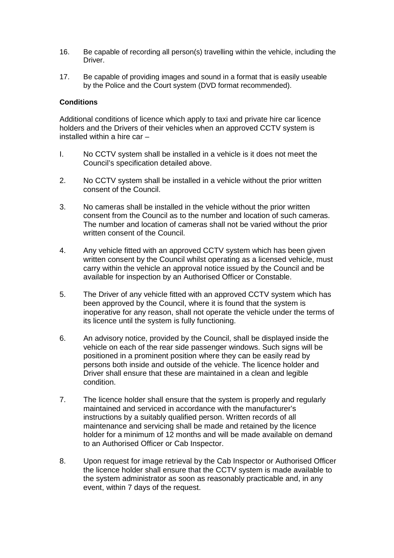- 16. Be capable of recording all person(s) travelling within the vehicle, including the **Driver**
- 17. Be capable of providing images and sound in a format that is easily useable by the Police and the Court system (DVD format recommended).

#### **Conditions**

Additional conditions of licence which apply to taxi and private hire car licence holders and the Drivers of their vehicles when an approved CCTV system is installed within a hire car –

- I. No CCTV system shall be installed in a vehicle is it does not meet the Council's specification detailed above.
- 2. No CCTV system shall be installed in a vehicle without the prior written consent of the Council.
- 3. No cameras shall be installed in the vehicle without the prior written consent from the Council as to the number and location of such cameras. The number and location of cameras shall not be varied without the prior written consent of the Council.
- 4. Any vehicle fitted with an approved CCTV system which has been given written consent by the Council whilst operating as a licensed vehicle, must carry within the vehicle an approval notice issued by the Council and be available for inspection by an Authorised Officer or Constable.
- 5. The Driver of any vehicle fitted with an approved CCTV system which has been approved by the Council, where it is found that the system is inoperative for any reason, shall not operate the vehicle under the terms of its licence until the system is fully functioning.
- 6. An advisory notice, provided by the Council, shall be displayed inside the vehicle on each of the rear side passenger windows. Such signs will be positioned in a prominent position where they can be easily read by persons both inside and outside of the vehicle. The licence holder and Driver shall ensure that these are maintained in a clean and legible condition.
- 7. The licence holder shall ensure that the system is properly and regularly maintained and serviced in accordance with the manufacturer's instructions by a suitably qualified person. Written records of all maintenance and servicing shall be made and retained by the licence holder for a minimum of 12 months and will be made available on demand to an Authorised Officer or Cab Inspector.
- 8. Upon request for image retrieval by the Cab Inspector or Authorised Officer the licence holder shall ensure that the CCTV system is made available to the system administrator as soon as reasonably practicable and, in any event, within 7 days of the request.